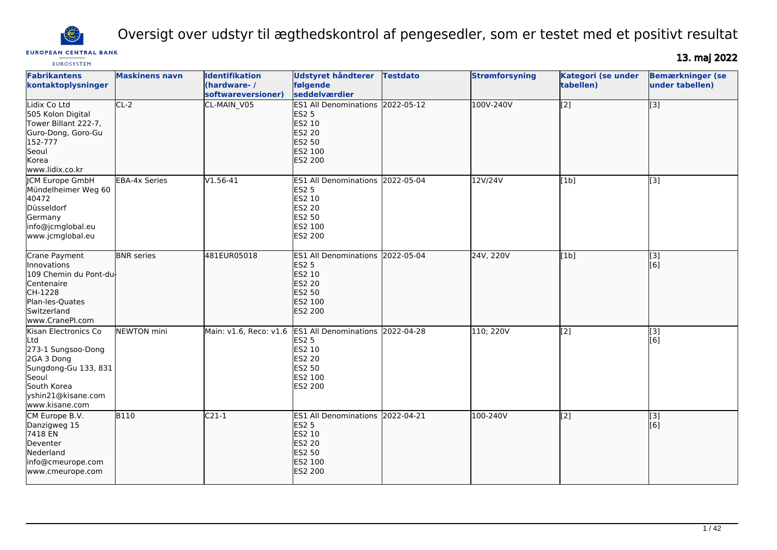

Oversigt over udstyr til ægthedskontrol af pengesedler, som er testet med et positivt resultat

## **EUROPEAN CENTRAL BANK**

13. maj 2022

| <b>EUROSYSTEM</b>                                                                                                                                       |                       |                                                            |                                                                                                                           |                 |                       |                                        |                                            |
|---------------------------------------------------------------------------------------------------------------------------------------------------------|-----------------------|------------------------------------------------------------|---------------------------------------------------------------------------------------------------------------------------|-----------------|-----------------------|----------------------------------------|--------------------------------------------|
| <b>Fabrikantens</b><br>kontaktoplysninger                                                                                                               | <b>Maskinens navn</b> | <b>Identifikation</b><br>(hardware-/<br>softwareversioner) | <b>Udstyret håndterer</b><br>følgende<br>seddelværdier                                                                    | <b>Testdato</b> | <b>Strømforsyning</b> | <b>Kategori (se under</b><br>tabellen) | <b>Bemærkninger (se</b><br>under tabellen) |
| Lidix Co Ltd<br>505 Kolon Digital<br>Tower Billant 222-7,<br>Guro-Dong, Goro-Gu<br>152-777<br>Seoul<br>Korea<br>www.lidix.co.kr                         | $CL-2$                | CL-MAIN_V05                                                | ES1 All Denominations 2022-05-12<br><b>ES2 5</b><br>ES2 10<br><b>ES2 20</b><br><b>ES2 50</b><br>ES2 100<br><b>ES2 200</b> |                 | 100V-240V             | $\overline{[2]}$                       | $\overline{[3]}$                           |
| <b>JCM Europe GmbH</b><br>Mündelheimer Weg 60<br>40472<br>Düsseldorf<br>Germany<br>info@jcmglobal.eu<br>www.jcmglobal.eu                                | <b>EBA-4x Series</b>  | $V1.56-41$                                                 | ES1 All Denominations 2022-05-04<br><b>ES2 5</b><br>ES2 10<br><b>ES2 20</b><br>ES2 50<br>ES2 100<br>ES2 200               |                 | 12V/24V               | [1b]                                   | $\overline{[}3]$                           |
| Crane Payment<br>Innovations<br>109 Chemin du Pont-dul<br>Centenaire<br>CH-1228<br>Plan-les-Quates<br>Switzerland<br>www.CranePI.com                    | <b>BNR</b> series     | 481EUR05018                                                | <b>ES1 All Denominations</b><br><b>ES2 5</b><br><b>ES2 10</b><br><b>ES2 20</b><br>ES2 50<br>ES2 100<br><b>ES2 200</b>     | 2022-05-04      | 24V, 220V             | [1b]                                   | [[3]<br>[6]                                |
| Kisan Electronics Co<br>Ltd<br>273-1 Sungsoo-Dong<br>2GA 3 Dong<br>Sungdong-Gu 133, 831<br>Seoul<br>South Korea<br>yshin21@kisane.com<br>www.kisane.com | NEWTON mini           | Main: v1.6, Reco: v1.6                                     | ES1 All Denominations 2022-04-28<br><b>ES2 5</b><br>ES2 10<br><b>ES2 20</b><br>ES2 50<br>ES2 100<br>ES2 200               |                 | 110; 220V             | $\overline{[2]}$                       | $\overline{[}3]$<br>[6]                    |
| CM Europe B.V.<br>Danzigweg 15<br>7418 EN<br>Deventer<br>Nederland<br>info@cmeurope.com<br>www.cmeurope.com                                             | <b>B110</b>           | $C21-1$                                                    | ES1 All Denominations 2022-04-21<br><b>ES2 5</b><br>ES2 10<br><b>ES2 20</b><br>ES2 50<br>ES2 100<br>ES2 200               |                 | 100-240V              | $\overline{[2]}$                       | $\overline{[}$ [3]<br>[6]                  |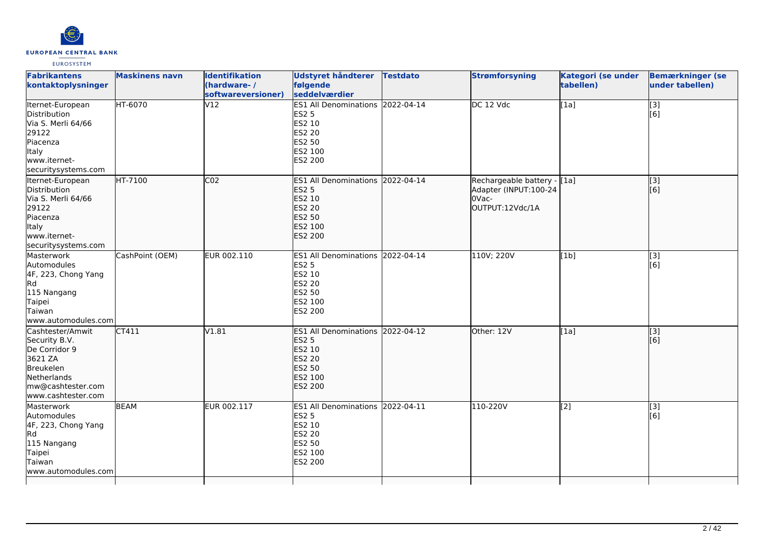

| <b>Fabrikantens</b><br>kontaktoplysninger                                                                                            | <b>Maskinens navn</b> | <b>Identifikation</b><br>(hardware-/<br>softwareversioner) | Udstyret håndterer<br>følgende<br>seddelværdier                                                                    | <b>Testdato</b> | <b>Strømforsyning</b>                                                            | <b>Kategori (se under</b><br>tabellen) | <b>Bemærkninger (se</b><br>under tabellen) |
|--------------------------------------------------------------------------------------------------------------------------------------|-----------------------|------------------------------------------------------------|--------------------------------------------------------------------------------------------------------------------|-----------------|----------------------------------------------------------------------------------|----------------------------------------|--------------------------------------------|
| Iternet-European<br>Distribution<br>Via S. Merli 64/66<br>29122<br>Piacenza<br>Italy<br>www.iternet-<br>securitysystems.com          | HT-6070               | V12                                                        | <b>ES1 All Denominations</b><br><b>ES2 5</b><br>ES2 10<br><b>ES2 20</b><br>ES2 50<br>ES2 100<br>ES2 200            | 2022-04-14      | DC 12 Vdc                                                                        | [1a]                                   | [3]<br>[6]                                 |
| Iternet-European<br>Distribution<br>Via S. Merli 64/66<br>29122<br>Piacenza<br>Italy<br>www.iternet-<br>securitysystems.com          | HT-7100               | CO <sub>2</sub>                                            | ES1 All Denominations 2022-04-14<br><b>ES2 5</b><br>ES2 10<br><b>ES2 20</b><br>ES2 50<br>ES2 100<br><b>ES2 200</b> |                 | Rechargeable battery - [1a]<br>Adapter (INPUT:100-24<br>OVac-<br>OUTPUT:12Vdc/1A |                                        | [3]<br>[6]                                 |
| Masterwork<br>Automodules<br>4F, 223, Chong Yang<br>Rd.<br>115 Nangang<br>Taipei<br>Taiwan<br>www.automodules.com                    | CashPoint (OEM)       | EUR 002.110                                                | ES1 All Denominations 2022-04-14<br><b>ES2 5</b><br>ES2 10<br><b>ES2 20</b><br>ES2 50<br>ES2 100<br>ES2 200        |                 | 110V; 220V                                                                       | [1b]                                   | [3]<br>[6]                                 |
| Cashtester/Amwit<br>Security B.V.<br>De Corridor 9<br>3621 ZA<br>Breukelen<br>Netherlands<br>mw@cashtester.com<br>www.cashtester.com | CT411                 | V1.81                                                      | <b>ES1 All Denominations</b><br><b>ES2 5</b><br>ES2 10<br><b>ES2 20</b><br>ES2 50<br>ES2 100<br>ES2 200            | 2022-04-12      | Other: 12V                                                                       | [1a]                                   | [3]<br>[6]                                 |
| Masterwork<br>Automodules<br>4F, 223, Chong Yang<br><b>Rd</b><br>115 Nangang<br>Taipei<br>Taiwan<br>www.automodules.com              | <b>BEAM</b>           | EUR 002.117                                                | ES1 All Denominations 2022-04-11<br><b>ES2 5</b><br><b>ES2 10</b><br><b>ES2 20</b><br>ES2 50<br>ES2 100<br>ES2 200 |                 | 110-220V                                                                         | [2]                                    | [3]<br>[6]                                 |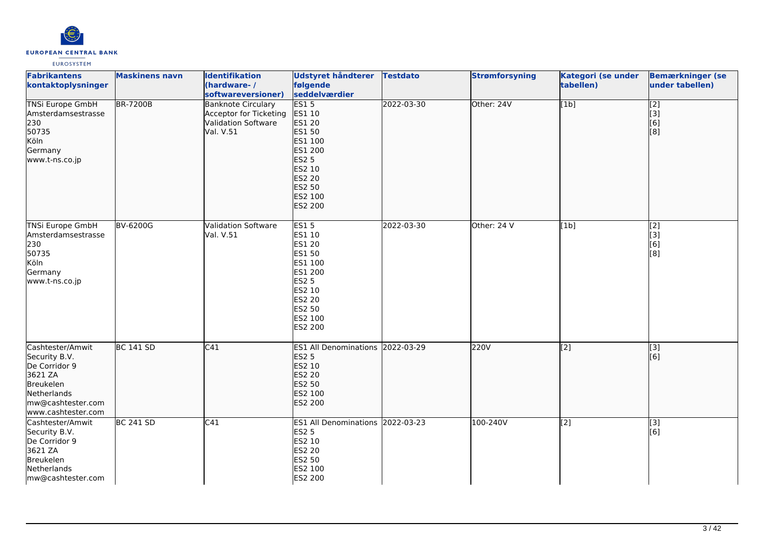

| <b>Fabrikantens</b><br>kontaktoplysninger                                                                                                   | <b>Maskinens navn</b> | <b>Identifikation</b><br>(hardware-/<br>softwareversioner)                                     | <b>Udstyret håndterer</b><br>følgende<br>seddelværdier                                                                              | <b>Testdato</b> | <b>Strømforsyning</b> | Kategori (se under<br>tabellen) | <b>Bemærkninger (se</b><br>under tabellen)                                                                             |
|---------------------------------------------------------------------------------------------------------------------------------------------|-----------------------|------------------------------------------------------------------------------------------------|-------------------------------------------------------------------------------------------------------------------------------------|-----------------|-----------------------|---------------------------------|------------------------------------------------------------------------------------------------------------------------|
| <b>TNSi Europe GmbH</b><br>Amsterdamsestrasse<br>230<br>50735<br>Köln<br>Germany<br>www.t-ns.co.jp                                          | <b>BR-7200B</b>       | <b>Banknote Circulary</b><br>Acceptor for Ticketing<br><b>Validation Software</b><br>Val. V.51 | ES15<br>ES1 10<br>ES1 20<br>ES1 50<br>ES1 100<br>ES1 200<br><b>ES2 5</b><br>ES2 10<br>ES2 20<br>ES2 50<br>ES2 100<br>ES2 200        | 2022-03-30      | Other: 24V            | [1b]                            | $\overline{[2]}$<br>$\begin{bmatrix} 3 \\ 6 \end{bmatrix}$<br>$\left[ \begin{smallmatrix} 8 \end{smallmatrix} \right]$ |
| <b>TNSi Europe GmbH</b><br>Amsterdamsestrasse<br>230<br>50735<br>Köln<br>Germany<br>www.t-ns.co.jp                                          | BV-6200G              | Validation Software<br>Val. V.51                                                               | <b>ES15</b><br>ES1 10<br>ES1 20<br>ES1 50<br>ES1 100<br>ES1 200<br><b>ES2 5</b><br>ES2 10<br>ES2 20<br>ES2 50<br>ES2 100<br>ES2 200 | 2022-03-30      | Other: 24 V           | [1b]                            | [2]<br>$\begin{bmatrix} 3 \\ 6 \end{bmatrix}$<br>$\overline{[}8]$                                                      |
| Cashtester/Amwit<br>Security B.V.<br>De Corridor 9<br>3621 ZA<br><b>Breukelen</b><br>Netherlands<br>mw@cashtester.com<br>www.cashtester.com | BC 141 SD             | C41                                                                                            | ES1 All Denominations 2022-03-29<br><b>ES2 5</b><br>ES2 10<br><b>ES2 20</b><br>ES2 50<br>ES2 100<br>ES2 200                         |                 | 220V                  | $\overline{[2]}$                | $\overline{[3]}$<br>[6]                                                                                                |
| Cashtester/Amwit<br>Security B.V.<br>De Corridor 9<br>3621 ZA<br>Breukelen<br>Netherlands<br>mw@cashtester.com                              | <b>BC 241 SD</b>      | C41                                                                                            | ES1 All Denominations 2022-03-23<br><b>ES2 5</b><br>ES2 10<br>ES2 20<br>ES2 50<br>ES2 100<br>ES2 200                                |                 | 100-240V              | $\sqrt{2}$                      | $\overline{[}3]$<br>[6]                                                                                                |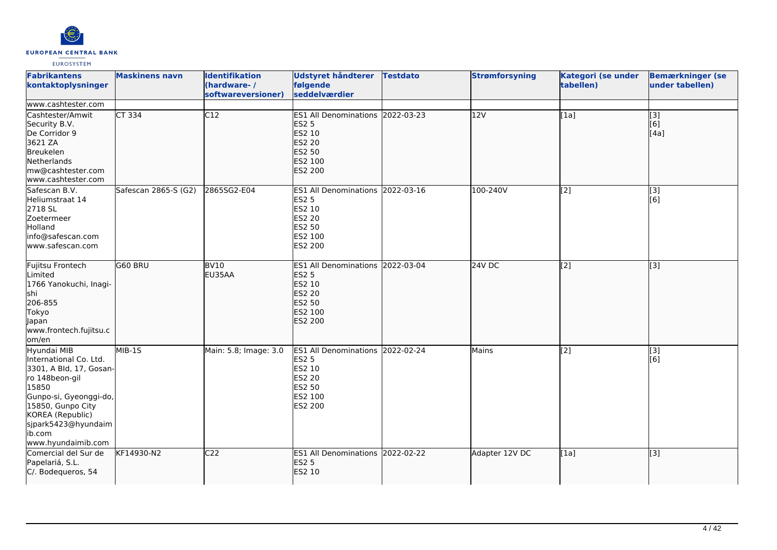

| <b>Fabrikantens</b><br>kontaktoplysninger<br>www.cashtester.com                                                                                                                                                       | <b>Maskinens navn</b> | <b>Identifikation</b><br>(hardware-/<br>softwareversioner) | Udstyret håndterer<br>følgende<br>seddelværdier                                                                    | <b>Testdato</b> | <b>Strømforsyning</b> | Kategori (se under<br>tabellen) | <b>Bemærkninger (se</b><br>under tabellen)                    |
|-----------------------------------------------------------------------------------------------------------------------------------------------------------------------------------------------------------------------|-----------------------|------------------------------------------------------------|--------------------------------------------------------------------------------------------------------------------|-----------------|-----------------------|---------------------------------|---------------------------------------------------------------|
| lCashtester/Amwit<br>Security B.V.<br>De Corridor 9<br>3621 ZA<br>Breukelen<br>Netherlands<br>mw@cashtester.com<br>www.cashtester.com                                                                                 | CT 334                | C12                                                        | ES1 All Denominations 2022-03-23<br><b>ES2 5</b><br>ES2 10<br><b>ES2 20</b><br>ES2 50<br>ES2 100<br>ES2 200        |                 | 12V                   | [1a]                            | $\left[ \begin{matrix} 3 \end{matrix} \right]$<br>[6]<br>[4a] |
| Safescan B.V.<br>Heliumstraat 14<br>2718 SL<br>Zoetermeer<br>Holland<br>info@safescan.com<br>www.safescan.com                                                                                                         | Safescan 2865-S (G2)  | 2865SG2-E04                                                | ES1 All Denominations 2022-03-16<br><b>ES2 5</b><br>ES2 10<br><b>ES2 20</b><br><b>ES2 50</b><br>ES2 100<br>ES2 200 |                 | 100-240V              | [2]                             | [3]<br>[6]                                                    |
| Fujitsu Frontech<br>Limited<br>1766 Yanokuchi, Inagi-<br>shi<br>206-855<br>Tokyo<br>Japan<br>www.frontech.fujitsu.c<br>om/en                                                                                          | G60 BRU               | BV10<br>EU35AA                                             | ES1 All Denominations 2022-03-04<br><b>ES2 5</b><br>ES2 10<br><b>ES2 20</b><br><b>ES2 50</b><br>ES2 100<br>ES2 200 |                 | <b>24V DC</b>         | $\overline{[2]}$                | $\left[ \begin{matrix} 3 \end{matrix} \right]$                |
| Hyundai MIB<br>International Co. Ltd.<br>3301, A Bld, 17, Gosan-<br>ro 148beon-gil<br>15850<br>Gunpo-si, Gyeonggi-do,<br>15850, Gunpo City<br>KOREA (Republic)<br>sjpark5423@hyundaim<br>ib.com<br>www.hyundaimib.com | MIB-1S                | Main: 5.8; Image: 3.0                                      | ES1 All Denominations 2022-02-24<br><b>ES2 5</b><br>ES2 10<br>ES2 20<br>ES2 50<br>ES2 100<br>ES2 200               |                 | Mains                 | $\overline{[2]}$                | $\overline{[3]}$<br>[6]                                       |
| Comercial del Sur de<br>Papelariá, S.L.<br>C/. Bodequeros, 54                                                                                                                                                         | KF14930-N2            | C <sub>22</sub>                                            | ES1 All Denominations 2022-02-22<br><b>ES2 5</b><br>ES2 10                                                         |                 | Adapter 12V DC        | [1a]                            | $\left[ \begin{matrix} 3 \end{matrix} \right]$                |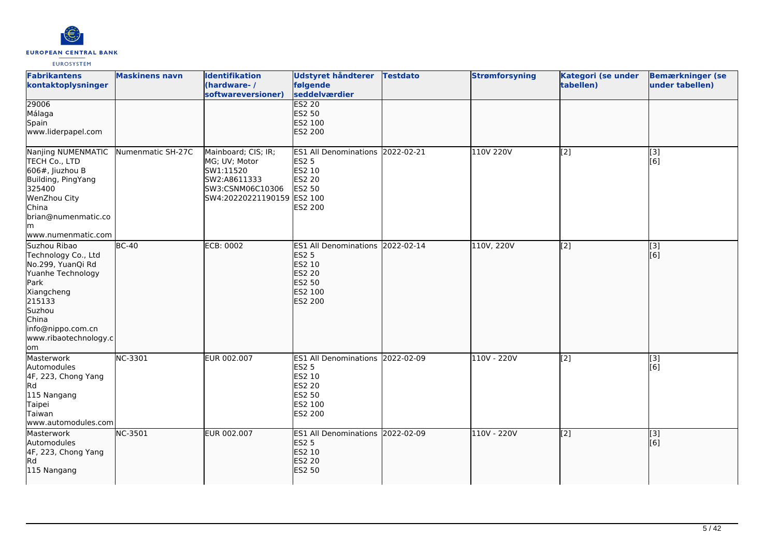

| <b>Fabrikantens</b><br>kontaktoplysninger                                                                                                                                             | <b>Maskinens navn</b> | <b>Identifikation</b><br>(hardware-/<br>softwareversioner)                                                          | Udstyret håndterer<br>følgende<br>seddelværdier                                                                    | <b>Testdato</b> | <b>Strømforsyning</b> | Kategori (se under<br>tabellen) | <b>Bemærkninger (se</b><br>under tabellen) |
|---------------------------------------------------------------------------------------------------------------------------------------------------------------------------------------|-----------------------|---------------------------------------------------------------------------------------------------------------------|--------------------------------------------------------------------------------------------------------------------|-----------------|-----------------------|---------------------------------|--------------------------------------------|
| 29006<br>Málaga<br>Spain<br>www.liderpapel.com                                                                                                                                        |                       |                                                                                                                     | <b>ES2 20</b><br>ES2 50<br>ES2 100<br>ES2 200                                                                      |                 |                       |                                 |                                            |
| Nanjing NUMENMATIC<br>TECH Co., LTD<br>$606#$ , Jiuzhou B<br>Building, PingYang<br>325400<br>WenZhou City<br>China<br>brian@numenmatic.co<br>lm.<br>www.numenmatic.com                | Numenmatic SH-27C     | Mainboard; CIS; IR;<br>MG; UV; Motor<br>SW1:11520<br>SW2:A8611333<br>SW3:CSNM06C10306<br>SW4:20220221190159 ES2 100 | ES1 All Denominations 2022-02-21<br><b>ES2 5</b><br>ES2 10<br><b>ES2 20</b><br><b>ES2 50</b><br>ES2 200            |                 | 110V 220V             | [2]                             | [3]<br>[6]                                 |
| Suzhou Ribao<br>Technology Co., Ltd<br>No.299, YuanQi Rd<br>Yuanhe Technology<br>Park<br>Xiangcheng<br>215133<br>Suzhou<br>China<br>info@nippo.com.cn<br>www.ribaotechnology.c<br>lom | $BC-40$               | <b>ECB: 0002</b>                                                                                                    | ES1 All Denominations 2022-02-14<br><b>ES2 5</b><br>ES2 10<br>ES2 20<br><b>ES2 50</b><br>ES2 100<br><b>ES2 200</b> |                 | 110V, 220V            | [2]                             | $\overline{[3]}$<br>[6]                    |
| Masterwork<br>Automodules<br>4F, 223, Chong Yang<br>Rd<br>115 Nangang<br>Taipei<br>Taiwan<br>www.automodules.com                                                                      | NC-3301               | EUR 002.007                                                                                                         | ES1 All Denominations 2022-02-09<br><b>ES2 5</b><br>ES2 10<br>ES2 20<br>ES2 50<br>ES2 100<br>ES2 200               |                 | 110V - 220V           | [2]                             | [3]<br>[6]                                 |
| Masterwork<br>Automodules<br>4F, 223, Chong Yang<br><b>Rd</b><br>115 Nangang                                                                                                          | <b>NC-3501</b>        | EUR 002.007                                                                                                         | ES1 All Denominations 2022-02-09<br><b>ES2 5</b><br>ES2 10<br><b>ES2 20</b><br><b>ES2 50</b>                       |                 | 110V - 220V           | [2]                             | [3]<br>[6]                                 |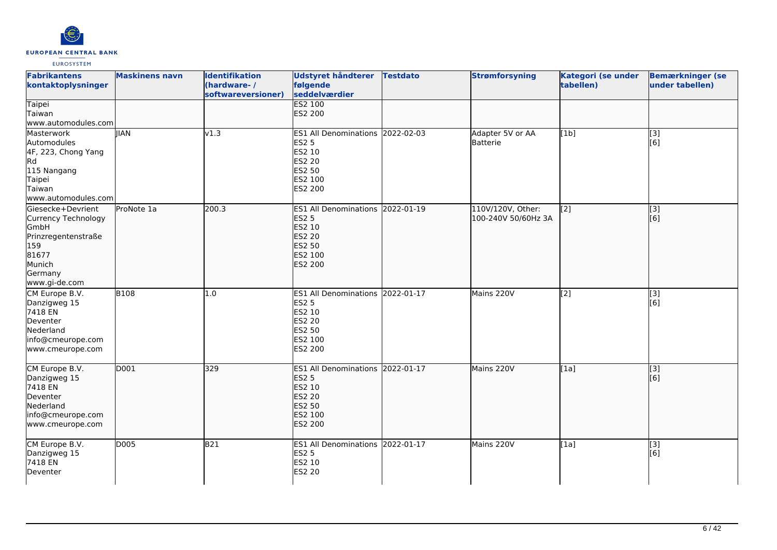

| <b>Fabrikantens</b><br>kontaktoplysninger                                                                                     | <b>Maskinens navn</b> | <b>Identifikation</b><br>(hardware-/<br>softwareversioner) | <b>Udstyret håndterer</b><br>følgende<br>seddelværdier<br><b>ES2 100</b>                                           | <b>Testdato</b> | <b>Strømforsyning</b>                    | Kategori (se under<br>tabellen) | <b>Bemærkninger (se</b><br>under tabellen)            |
|-------------------------------------------------------------------------------------------------------------------------------|-----------------------|------------------------------------------------------------|--------------------------------------------------------------------------------------------------------------------|-----------------|------------------------------------------|---------------------------------|-------------------------------------------------------|
| <b>Taipei</b><br>Taiwan<br>www.automodules.com                                                                                |                       |                                                            | ES2 200                                                                                                            |                 |                                          |                                 |                                                       |
| Masterwork<br>Automodules<br>4F, 223, Chong Yang<br>Rd<br>115 Nangang<br>Taipei<br>Taiwan<br>www.automodules.com              | <b>IIAN</b>           | v1.3                                                       | ES1 All Denominations 2022-02-03<br><b>ES2 5</b><br>ES2 10<br><b>ES2 20</b><br>ES2 50<br>ES2 100<br>ES2 200        |                 | Adapter 5V or AA<br>Batterie             | [1b]                            | [3]<br>[6]                                            |
| Giesecke+Devrient<br>Currency Technology<br>GmbH<br>Prinzregentenstraße<br>159<br>81677<br>Munich<br>Germany<br>www.gi-de.com | ProNote 1a            | 200.3                                                      | ES1 All Denominations 2022-01-19<br><b>ES2 5</b><br>ES2 10<br><b>ES2 20</b><br>ES2 50<br>ES2 100<br><b>ES2 200</b> |                 | 110V/120V, Other:<br>100-240V 50/60Hz 3A | $\overline{[2]}$                | $\sqrt{3}$<br>[6]                                     |
| CM Europe B.V.<br>Danzigweg 15<br>7418 EN<br>Deventer<br>Nederland<br>info@cmeurope.com<br>www.cmeurope.com                   | <b>B108</b>           | 1.0                                                        | ES1 All Denominations 2022-01-17<br><b>ES2 5</b><br>ES2 10<br><b>ES2 20</b><br>ES2 50<br>ES2 100<br>ES2 200        |                 | Mains 220V                               | [2]                             | $\left[ \begin{matrix} 3 \end{matrix} \right]$<br>[6] |
| CM Europe B.V.<br>Danzigweg 15<br>7418 EN<br>Deventer<br>Nederland<br>info@cmeurope.com<br>www.cmeurope.com                   | D001                  | 329                                                        | ES1 All Denominations 2022-01-17<br><b>ES2 5</b><br>ES2 10<br><b>ES2 20</b><br><b>ES2 50</b><br>ES2 100<br>ES2 200 |                 | Mains 220V                               | $\overline{[1a]}$               | $\overline{[}3]$<br>[6]                               |
| CM Europe B.V.<br>Danzigweg 15<br>7418 EN<br>Deventer                                                                         | D005                  | <b>B21</b>                                                 | ES1 All Denominations 2022-01-17<br><b>ES2 5</b><br>ES2 10<br><b>ES2 20</b>                                        |                 | Mains 220V                               | [1a]                            | [3]<br>[6]                                            |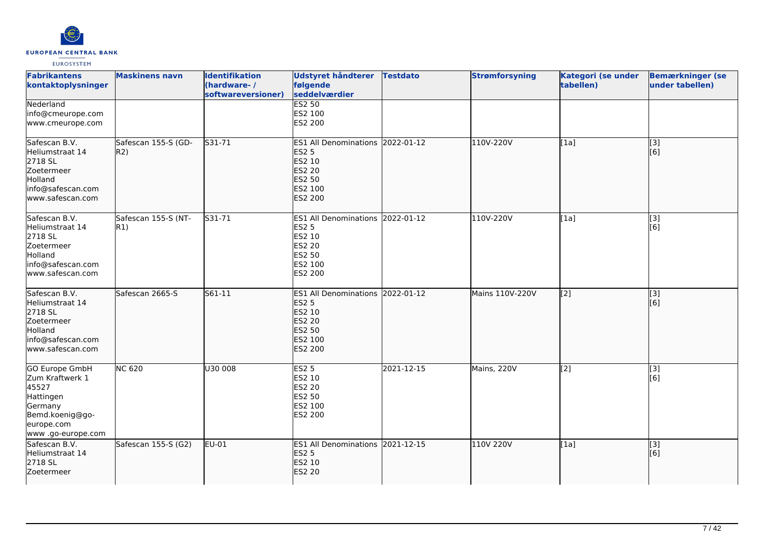

| <b>Fabrikantens</b><br>kontaktoplysninger                                                                                        | <b>Maskinens navn</b>      | <b>Identifikation</b><br>(hardware-/<br>softwareversioner) | <b>Udstyret håndterer</b><br>følgende<br>seddelværdier                                                         | <b>Testdato</b> | <b>Strømforsyning</b> | Kategori (se under<br>tabellen) | <b>Bemærkninger (se</b><br>under tabellen) |
|----------------------------------------------------------------------------------------------------------------------------------|----------------------------|------------------------------------------------------------|----------------------------------------------------------------------------------------------------------------|-----------------|-----------------------|---------------------------------|--------------------------------------------|
| Nederland<br>info@cmeurope.com<br>www.cmeurope.com                                                                               |                            |                                                            | <b>ES2 50</b><br>ES2 100<br>ES2 200                                                                            |                 |                       |                                 |                                            |
| Safescan B.V.<br>Heliumstraat 14<br>2718 SL<br>Zoetermeer<br>Holland<br>info@safescan.com<br>www.safescan.com                    | Safescan 155-S (GD-<br>R2) | S31-71                                                     | ES1 All Denominations 2022-01-12<br><b>ES2 5</b><br>ES2 10<br>ES2 20<br>ES2 50<br>ES2 100<br><b>ES2 200</b>    |                 | 110V-220V             | [1a]                            | $\overline{[}3]$<br>[6]                    |
| Safescan B.V.<br>Heliumstraat 14<br>2718 SL<br>Zoetermeer<br>Holland<br>info@safescan.com<br>www.safescan.com                    | Safescan 155-S (NT-<br>R1) | $531 - 71$                                                 | ES1 All Denominations 2022-01-12<br><b>ES2 5</b><br>ES2 10<br><b>ES2 20</b><br>ES2 50<br>ES2 100<br>ES2 200    |                 | 110V-220V             | [1a]                            | $\overline{[3]}$<br>[6]                    |
| Safescan B.V.<br>Heliumstraat 14<br>2718 SL<br>Zoetermeer<br>Holland<br>info@safescan.com<br>lwww.safescan.com                   | Safescan 2665-S            | S61-11                                                     | <b>ES1 All Denominations</b><br><b>ES2 5</b><br>ES2 10<br><b>ES2 20</b><br>ES2 50<br>ES2 100<br><b>ES2 200</b> | 2022-01-12      | Mains 110V-220V       | $\sqrt{2}$                      | [3]<br>[6]                                 |
| <b>GO Europe GmbH</b><br>Zum Kraftwerk 1<br>45527<br>Hattingen<br>Germany<br>Bemd.koenig@go-<br>europe.com<br>www .go-europe.com | <b>NC 620</b>              | U30 008                                                    | <b>ES2 5</b><br>ES2 10<br>ES2 20<br>ES2 50<br>ES2 100<br>ES2 200                                               | 2021-12-15      | Mains, 220V           | [2]                             | $\overline{[3]}$<br>[6]                    |
| Safescan B.V.<br>Heliumstraat 14<br>2718 SL<br>Zoetermeer                                                                        | Safescan 155-S (G2)        | EU-01                                                      | ES1 All Denominations 2021-12-15<br><b>ES2 5</b><br>ES2 10<br><b>ES2 20</b>                                    |                 | 110V 220V             | [1a]                            | [3]<br>[6]                                 |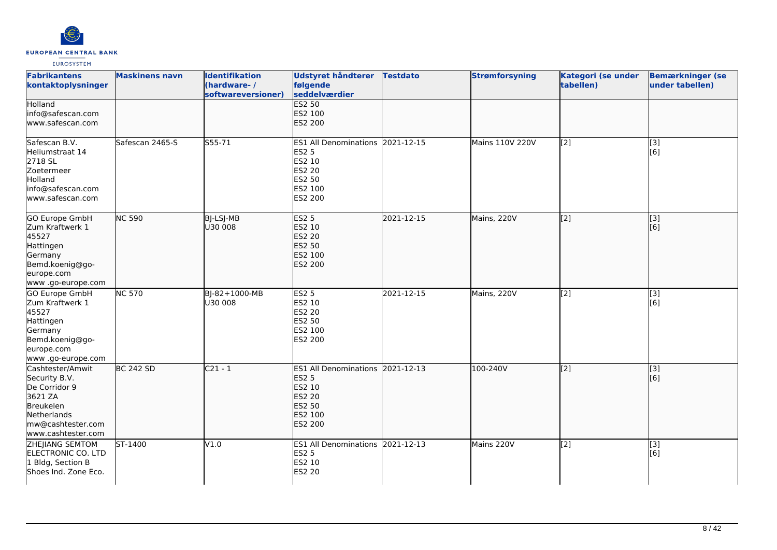

| <b>Fabrikantens</b><br>kontaktoplysninger                                                                                            | <b>Maskinens navn</b>        | <b>Identifikation</b><br>(hardware-/<br>softwareversioner) | Udstyret håndterer<br>følgende<br>seddelværdier                                                             | <b>Testdato</b> | <b>Strømforsyning</b>  | Kategori (se under<br>tabellen) | <b>Bemærkninger (se</b><br>under tabellen) |
|--------------------------------------------------------------------------------------------------------------------------------------|------------------------------|------------------------------------------------------------|-------------------------------------------------------------------------------------------------------------|-----------------|------------------------|---------------------------------|--------------------------------------------|
| Holland<br>info@safescan.com<br>www.safescan.com                                                                                     |                              |                                                            | <b>ES2 50</b><br>ES2 100<br>ES2 200                                                                         |                 |                        |                                 |                                            |
| Safescan B.V.<br>Heliumstraat 14<br>2718 SL<br>Zoetermeer<br>Holland<br>info@safescan.com<br>www.safescan.com                        | Safescan 2465-S              | $555 - 71$                                                 | ES1 All Denominations 2021-12-15<br><b>ES2 5</b><br>ES2 10<br>ES2 20<br>ES2 50<br>ES2 100<br>ES2 200        |                 | <b>Mains 110V 220V</b> | [2]                             | $\overline{[3]}$<br>[6]                    |
| GO Europe GmbH<br>Zum Kraftwerk 1<br>45527<br>Hattingen<br>Germany<br>Bemd.koenig@go-<br>europe.com<br>www.go-europe.com             | <b>NC 590</b>                | BJ-LSJ-MB<br>U30 008                                       | <b>ES2 5</b><br>ES2 10<br><b>ES2 20</b><br>ES2 50<br>ES2 100<br><b>ES2 200</b>                              | 2021-12-15      | Mains, 220V            | [2]                             | [3]<br>[6]                                 |
| GO Europe GmbH<br>Zum Kraftwerk 1<br>45527<br>Hattingen<br>Germany<br>Bemd.koenig@go-<br>europe.com<br>www .go-europe.com            | <b>NC 570</b>                | BJ-82+1000-MB<br>U30 008                                   | <b>ES2 5</b><br>ES2 10<br>ES2 20<br>ES2 50<br>ES2 100<br>ES2 200                                            | 2021-12-15      | Mains, 220V            | [2]                             | [3]<br>[6]                                 |
| Cashtester/Amwit<br>Security B.V.<br>De Corridor 9<br>3621 ZA<br>Breukelen<br>Netherlands<br>mw@cashtester.com<br>www.cashtester.com | <b>BC 242 SD</b>             | $C21 - 1$                                                  | ES1 All Denominations 2021-12-13<br><b>ES2 5</b><br>ES2 10<br>ES2 20<br>ES2 50<br>ES2 100<br><b>ES2 200</b> |                 | 100-240V               | $\overline{[2]}$                | $\overline{[}$ [3]<br>[6]                  |
| ZHEJIANG SEMTOM<br>ELECTRONIC CO. LTD<br>1 Bldg, Section B<br>Shoes Ind. Zone Eco.                                                   | $\overline{\text{ST-1}}$ 400 | V1.0                                                       | ES1 All Denominations 2021-12-13<br><b>ES2 5</b><br>ES2 10<br><b>ES2 20</b>                                 |                 | Mains 220V             | [2]                             | $[3]$<br>[6]                               |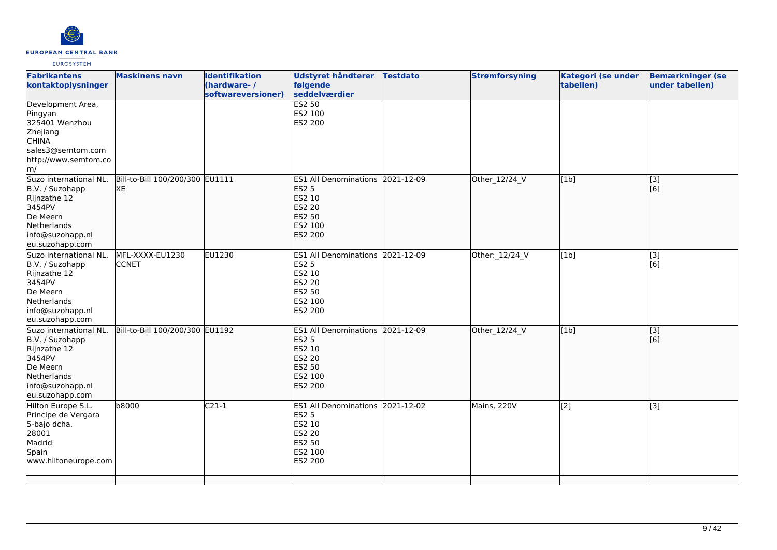

| <b>Fabrikantens</b><br>kontaktoplysninger                                                                                             | <b>Maskinens navn</b>                 | <b>Identifikation</b><br>(hardware-/<br>softwareversioner) | Udstyret håndterer<br>følgende<br>seddelværdier                                                                           | <b>Testdato</b> | <b>Strømforsyning</b> | <b>Kategori (se under</b><br>tabellen) | <b>Bemærkninger (se</b><br>under tabellen) |
|---------------------------------------------------------------------------------------------------------------------------------------|---------------------------------------|------------------------------------------------------------|---------------------------------------------------------------------------------------------------------------------------|-----------------|-----------------------|----------------------------------------|--------------------------------------------|
| Development Area,<br>Pingyan<br>325401 Wenzhou<br>Zhejiang<br><b>CHINA</b><br>sales3@semtom.com<br>http://www.semtom.co<br>m/         |                                       |                                                            | <b>ES2 50</b><br>ES2 100<br>ES2 200                                                                                       |                 |                       |                                        |                                            |
| Suzo international NL.<br>B.V. / Suzohapp<br>Rijnzathe 12<br>3454PV<br>De Meern<br>Netherlands<br>info@suzohapp.nl<br>eu.suzohapp.com | Bill-to-Bill 100/200/300 EU1111<br>XE |                                                            | ES1 All Denominations 2021-12-09<br><b>ES2 5</b><br>ES2 10<br><b>ES2 20</b><br><b>ES2 50</b><br>ES2 100<br>ES2 200        |                 | Other_12/24_V         | [1b]                                   | $\overline{[3]}$<br>[6]                    |
| Suzo international NL.<br>B.V. / Suzohapp<br>Rijnzathe 12<br>3454PV<br>De Meern<br>Netherlands<br>info@suzohapp.nl<br>eu.suzohapp.com | MFL-XXXX-EU1230<br><b>CCNET</b>       | EU1230                                                     | <b>ES1 All Denominations</b><br><b>ES2 5</b><br>ES2 10<br><b>ES2 20</b><br><b>ES2 50</b><br>ES2 100<br>ES2 200            | 2021-12-09      | Other: 12/24_V        | [1b]                                   | [3]<br>[6]                                 |
| Suzo international NL.<br>B.V. / Suzohapp<br>Rijnzathe 12<br>3454PV<br>De Meern<br>Netherlands<br>info@suzohapp.nl<br>eu.suzohapp.com | Bill-to-Bill 100/200/300 EU1192       |                                                            | ES1 All Denominations 2021-12-09<br><b>ES2 5</b><br>ES2 10<br><b>ES2 20</b><br><b>ES2 50</b><br>ES2 100<br><b>ES2 200</b> |                 | Other_12/24_V         | [1b]                                   | $\overline{[}3]$<br>[6]                    |
| Hilton Europe S.L.<br>Principe de Vergara<br>5-bajo dcha.<br>28001<br>Madrid<br>Spain<br>www.hiltoneurope.com                         | b8000                                 | $C21-1$                                                    | ES1 All Denominations 2021-12-02<br><b>ES2 5</b><br><b>ES2 10</b><br><b>ES2 20</b><br>ES2 50<br>ES2 100<br>ES2 200        |                 | Mains, 220V           | $\overline{[2]}$                       | $\overline{[3]}$                           |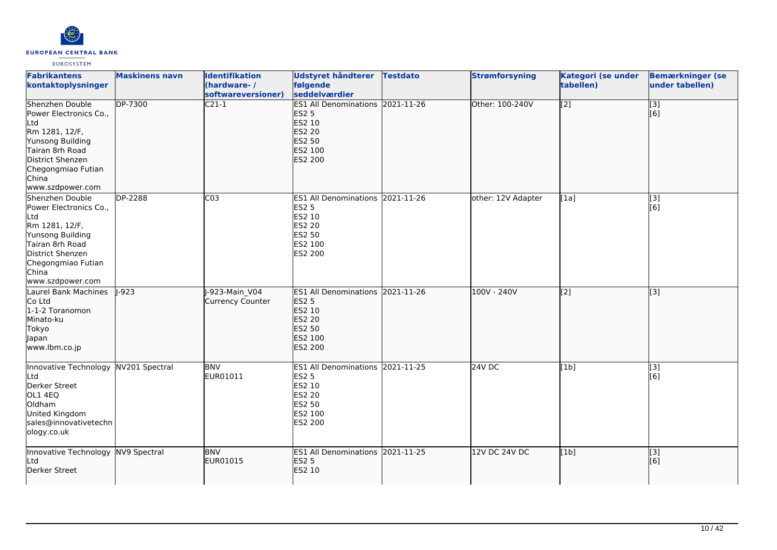

| <b>Fabrikantens</b><br>kontaktoplysninger                                                                                                                                        | <b>Maskinens navn</b> | <b>Identifikation</b><br>(hardware-/<br>softwareversioner) | Udstyret håndterer<br>følgende<br>seddelværdier                                                                       | <b>Testdato</b> | <b>Strømforsyning</b> | Kategori (se under<br>tabellen) | <b>Bemærkninger (se</b><br>under tabellen) |
|----------------------------------------------------------------------------------------------------------------------------------------------------------------------------------|-----------------------|------------------------------------------------------------|-----------------------------------------------------------------------------------------------------------------------|-----------------|-----------------------|---------------------------------|--------------------------------------------|
| Shenzhen Double<br>Power Electronics Co.,<br>Ltd<br>Rm 1281, 12/F,<br>Yunsong Building<br>Tairan 8rh Road<br>District Shenzen<br>Chegongmiao Futian<br>China<br>www.szdpower.com | <b>DP-7300</b>        | $\overline{C21-1}$                                         | <b>ES1 All Denominations</b><br><b>ES2 5</b><br>ES2 10<br><b>ES2 20</b><br><b>ES2 50</b><br>ES2 100<br><b>ES2 200</b> | 2021-11-26      | Other: 100-240V       | $\overline{[2]}$                | $\overline{[}$ [3]<br>[6]                  |
| Shenzhen Double<br>Power Electronics Co.,<br>Ltd<br>Rm 1281, 12/F,<br>Yunsong Building<br>Tairan 8rh Road<br>District Shenzen<br>Chegongmiao Futian<br>China<br>www.szdpower.com | DP-2288               | C <sub>03</sub>                                            | <b>ES1 All Denominations</b><br><b>ES2 5</b><br>ES2 10<br><b>ES2 20</b><br><b>ES2 50</b><br>ES2 100<br>ES2 200        | 2021-11-26      | other: 12V Adapter    | [1a]                            | [3]<br>[6]                                 |
| Laurel Bank Machines<br>Co Ltd<br>1-1-2 Toranomon<br>Minato-ku<br>Tokyo<br>Japan<br>www.lbm.co.jp                                                                                | $-923$                | -923-Main V04<br>Currency Counter                          | <b>ES1 All Denominations</b><br><b>ES2 5</b><br>ES2 10<br>ES2 20<br>ES2 50<br>ES2 100<br><b>ES2 200</b>               | 2021-11-26      | 100V - 240V           | [2]                             | $\overline{[3]}$                           |
| Innovative Technology<br>Ltd<br>Derker Street<br>OL1 4EQ<br>Oldham<br>United Kingdom<br>sales@innovativetechn<br>ology.co.uk                                                     | NV201 Spectral        | <b>BNV</b><br>EUR01011                                     | ES1 All Denominations 2021-11-25<br><b>ES2 5</b><br>ES2 10<br>ES2 20<br>ES2 50<br>ES2 100<br>ES2 200                  |                 | $24V$ DC              | [1b]                            | $\overline{[}3]$<br>[6]                    |
| Innovative Technology<br>Ltd<br>Derker Street                                                                                                                                    | NV9 Spectral          | <b>BNV</b><br>EUR01015                                     | ES1 All Denominations 2021-11-25<br><b>ES2 5</b><br>ES2 10                                                            |                 | 12V DC 24V DC         | [1b]                            | [3]<br>[6]                                 |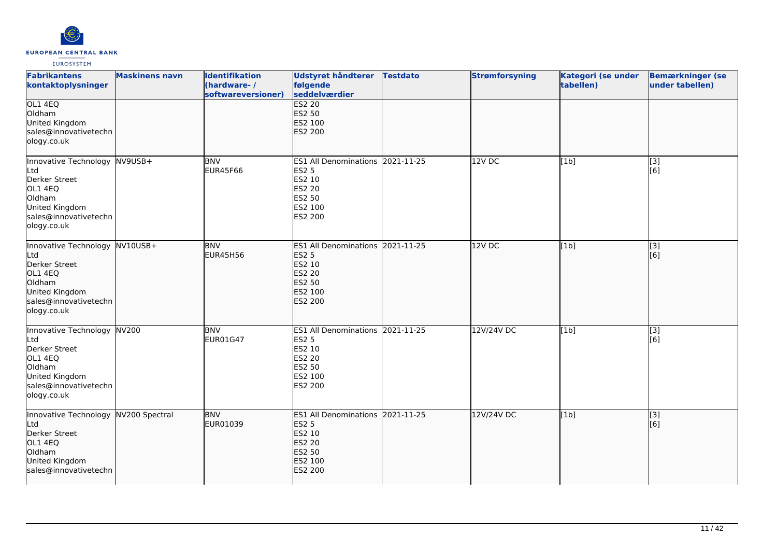

| <b>Fabrikantens</b><br>kontaktoplysninger                                                                                             | <b>Maskinens navn</b> | <b>Identifikation</b><br>(hardware-/<br>softwareversioner) | Udstyret håndterer<br>følgende<br>seddelværdier                                                                       | <b>Testdato</b> | <b>Strømforsyning</b> | Kategori (se under<br>tabellen) | <b>Bemærkninger (se</b><br>under tabellen) |
|---------------------------------------------------------------------------------------------------------------------------------------|-----------------------|------------------------------------------------------------|-----------------------------------------------------------------------------------------------------------------------|-----------------|-----------------------|---------------------------------|--------------------------------------------|
| OL1 4EQ<br>Oldham<br>United Kingdom<br>sales@innovativetechn<br>ology.co.uk                                                           |                       |                                                            | <b>ES2 20</b><br><b>ES2 50</b><br>ES2 100<br><b>ES2 200</b>                                                           |                 |                       |                                 |                                            |
| Innovative Technology NV9USB+<br>Ltd<br>Derker Street<br>OL1 4EQ<br>Oldham<br>United Kingdom<br>sales@innovativetechn<br>ology.co.uk  |                       | <b>BNV</b><br><b>EUR45F66</b>                              | ES1 All Denominations 2021-11-25<br><b>ES2 5</b><br>ES2 10<br><b>ES2 20</b><br><b>ES2 50</b><br>ES2 100<br>ES2 200    |                 | 12V DC                | [1b]                            | [3]<br>[6]                                 |
| Innovative Technology NV10USB+<br>Ltd<br>Derker Street<br>OL1 4EQ<br>Oldham<br>United Kingdom<br>sales@innovativetechn<br>ology.co.uk |                       | <b>BNV</b><br><b>EUR45H56</b>                              | ES1 All Denominations 2021-11-25<br><b>ES2 5</b><br>ES2 10<br><b>ES2 20</b><br><b>ES2 50</b><br>ES2 100<br>ES2 200    |                 | 12VDC                 | [1b]                            | $\overline{[3]}$<br>[6]                    |
| Innovative Technology NV200<br>Ltd<br>Derker Street<br>OL1 4EQ<br>Oldham<br>United Kingdom<br>sales@innovativetechn<br>ology.co.uk    |                       | <b>BNV</b><br>EUR01G47                                     | ES1 All Denominations 2021-11-25<br><b>ES2 5</b><br><b>ES2 10</b><br><b>ES2 20</b><br>ES2 50<br>ES2 100<br>ES2 200    |                 | 12V/24V DC            | [1b]                            | $\overline{[3]}$<br>[6]                    |
| Innovative Technology NV200 Spectral<br>Ltd<br>Derker Street<br>OL1 4EQ<br>Oldham<br>United Kingdom<br>sales@innovativetechn          |                       | <b>BNV</b><br>EUR01039                                     | <b>ES1 All Denominations</b><br><b>ES2 5</b><br>ES2 10<br><b>ES2 20</b><br><b>ES2 50</b><br>ES2 100<br><b>ES2 200</b> | 2021-11-25      | 12V/24V DC            | [1b]                            | [3]<br>[6]                                 |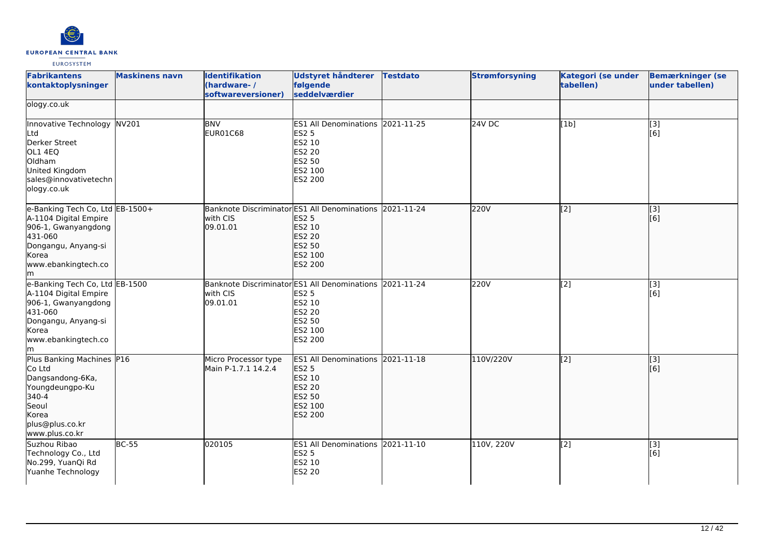

| <b>Fabrikantens</b><br>kontaktoplysninger                                                                                                               | <b>Maskinens navn</b> | <b>Identifikation</b><br>(hardware-/<br>softwareversioner)                      | <b>Udstyret håndterer</b><br>følgende<br>seddelværdier                                               | <b>Testdato</b> | <b>Strømforsyning</b> | Kategori (se under<br>tabellen) | <b>Bemærkninger (se</b><br>under tabellen) |
|---------------------------------------------------------------------------------------------------------------------------------------------------------|-----------------------|---------------------------------------------------------------------------------|------------------------------------------------------------------------------------------------------|-----------------|-----------------------|---------------------------------|--------------------------------------------|
| ology.co.uk                                                                                                                                             |                       |                                                                                 |                                                                                                      |                 |                       |                                 |                                            |
| Innovative Technology NV201<br><b>L</b> td<br>Derker Street<br>OL1 4EQ<br>Oldham<br>United Kingdom<br>sales@innovativetechn<br>ology.co.uk              |                       | <b>BNV</b><br>EUR01C68                                                          | ES1 All Denominations 2021-11-25<br>ES2 5<br>ES2 10<br>ES2 20<br>ES2 50<br>ES2 100<br>ES2 200        |                 | 24V DC                | [1b]                            | [3]<br>[6]                                 |
| e-Banking Tech Co, Ltd EB-1500+<br>A-1104 Digital Empire<br>906-1, Gwanyangdong<br>431-060<br>Dongangu, Anyang-si<br>Korea<br>www.ebankingtech.co<br>lm |                       | Banknote Discriminator ES1 All Denominations 2021-11-24<br>with CIS<br>09.01.01 | ES2 5<br>ES2 10<br>ES2 20<br>ES2 50<br>ES2 100<br>ES2 200                                            |                 | 220V                  | $\overline{[2]}$                | $\overline{[}3]$<br>[6]                    |
| e-Banking Tech Co, Ltd EB-1500<br>A-1104 Digital Empire<br>906-1, Gwanyangdong<br>431-060<br>Dongangu, Anyang-si<br>Korea<br>www.ebankingtech.co<br>lm. |                       | <b>Banknote Discriminator</b><br>with CIS<br>09.01.01                           | ES1 All Denominations 2021-11-24<br>ES2 5<br>ES2 10<br>ES2 20<br>ES2 50<br>ES2 100<br>ES2 200        |                 | 220V                  | [2]                             | [3]<br>[6]                                 |
| Plus Banking Machines P16<br>Co Ltd<br>Dangsandong-6Ka,<br>Youngdeungpo-Ku<br>340-4<br>Seoul<br>Korea<br>plus@plus.co.kr<br>www.plus.co.kr              |                       | Micro Processor type<br>Main P-1.7.1 14.2.4                                     | ES1 All Denominations 2021-11-18<br><b>ES2 5</b><br>ES2 10<br>ES2 20<br>ES2 50<br>ES2 100<br>ES2 200 |                 | 110V/220V             | $\left[2\right]$                | [[3]<br>[[6]                               |
| Suzhou Ribao<br>Technology Co., Ltd<br>No.299, YuanQi Rd<br>Yuanhe Technology                                                                           | <b>BC-55</b>          | 020105                                                                          | ES1 All Denominations 2021-11-10<br>ES2 5<br>ES2 10<br>ES2 20                                        |                 | 110V, 220V            | [2]                             | [3]<br>[6]                                 |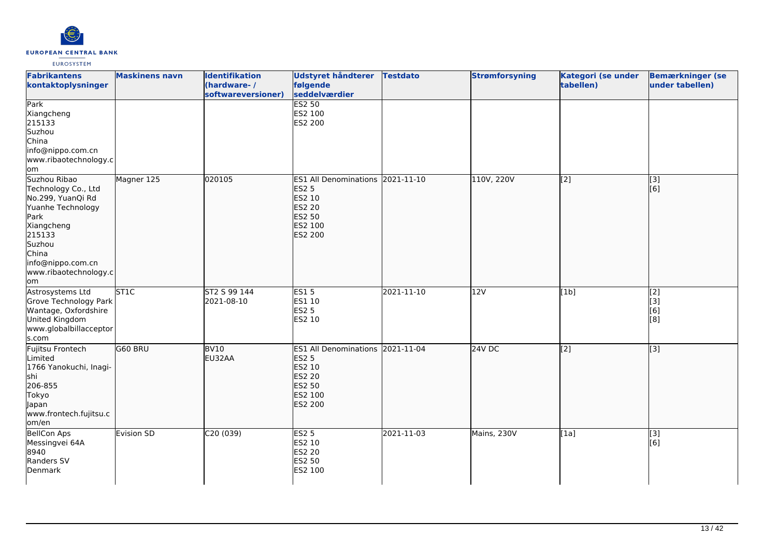

| <b>Fabrikantens</b><br>kontaktoplysninger                                                                                                                                             | <b>Maskinens navn</b> | <b>Identifikation</b><br>(hardware-/<br>softwareversioner) | <b>Udstyret håndterer</b><br>følgende<br>seddelværdier                                                             | <b>Testdato</b> | <b>Strømforsyning</b> | Kategori (se under<br>tabellen) | <b>Bemærkninger (se</b><br>under tabellen)         |
|---------------------------------------------------------------------------------------------------------------------------------------------------------------------------------------|-----------------------|------------------------------------------------------------|--------------------------------------------------------------------------------------------------------------------|-----------------|-----------------------|---------------------------------|----------------------------------------------------|
| Park<br>Xiangcheng<br>215133<br>Suzhou<br>China<br>info@nippo.com.cn<br>www.ribaotechnology.c<br>om                                                                                   |                       |                                                            | <b>ES2 50</b><br>ES2 100<br>ES2 200                                                                                |                 |                       |                                 |                                                    |
| Suzhou Ribao<br>Technology Co., Ltd<br>No.299, YuanQi Rd<br>Yuanhe Technology<br>Park<br>Xiangcheng<br>215133<br>Suzhou<br>China<br>info@nippo.com.cn<br>www.ribaotechnology.c<br>om/ | Magner 125            | 020105                                                     | ES1 All Denominations 2021-11-10<br><b>ES2 5</b><br>ES2 10<br>ES2 20<br>ES2 50<br>ES2 100<br>ES2 200               |                 | 110V, 220V            | $\overline{[2]}$                | $\sqrt{3}$<br>[6]                                  |
| Astrosystems Ltd<br>Grove Technology Park<br>Wantage, Oxfordshire<br>United Kingdom<br>www.globalbillacceptor<br>s.com                                                                | <b>STIC</b>           | ST2 S 99 144<br>2021-08-10                                 | ES15<br>ES1 10<br><b>ES2 5</b><br>ES2 10                                                                           | 2021-11-10      | 12V                   | [1b]                            | $\overline{[2]}$<br>$\overline{[}3]$<br>[6]<br>[8] |
| Fujitsu Frontech<br>Limited<br>1766 Yanokuchi, Inagi-<br><b>s</b> hi<br>206-855<br>Tokyo<br>Japan<br>www.frontech.fujitsu.c<br>lom/en                                                 | G60 BRU               | BV <sub>10</sub><br>EU32AA                                 | ES1 All Denominations 2021-11-04<br><b>ES2 5</b><br>ES2 10<br><b>ES2 20</b><br>ES2 50<br>ES2 100<br><b>ES2 200</b> |                 | $24V$ DC              | [2]                             | [3]                                                |
| <b>BellCon Aps</b><br>Messingvei 64A<br>8940<br>Randers SV<br>Denmark                                                                                                                 | <b>Evision SD</b>     | C20(039)                                                   | ES2 <sub>5</sub><br>ES2 10<br>ES2 20<br>ES2 50<br>ES2 100                                                          | 2021-11-03      | Mains, 230V           | [1a]                            | $\boxed{[3]}$<br>[6]                               |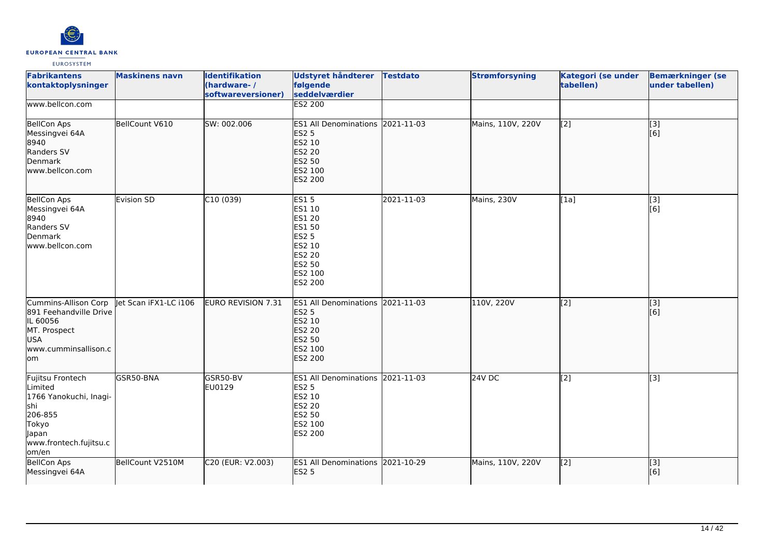

| <b>Fabrikantens</b><br>kontaktoplysninger                                                                                    | <b>Maskinens navn</b> | <b>Identifikation</b><br>(hardware-/<br>softwareversioner) | <b>Udstyret håndterer</b><br>følgende<br>seddelværdier                                                               | <b>Testdato</b> | <b>Strømforsyning</b> | Kategori (se under<br>tabellen) | <b>Bemærkninger (se</b><br>under tabellen)                |
|------------------------------------------------------------------------------------------------------------------------------|-----------------------|------------------------------------------------------------|----------------------------------------------------------------------------------------------------------------------|-----------------|-----------------------|---------------------------------|-----------------------------------------------------------|
| www.bellcon.com                                                                                                              |                       |                                                            | <b>ES2 200</b>                                                                                                       |                 |                       |                                 |                                                           |
| <b>BellCon Aps</b><br>Messingvei 64A<br>8940<br>Randers SV<br>Denmark<br>www.bellcon.com                                     | BellCount V610        | SW: 002.006                                                | ES1 All Denominations 2021-11-03<br><b>ES2 5</b><br>ES2 10<br><b>ES2 20</b><br>ES2 50<br>ES2 100<br><b>ES2 200</b>   |                 | Mains, 110V, 220V     | [2]                             | $\vert$ [3]<br>[6]                                        |
| <b>BellCon Aps</b><br>Messingvei 64A<br>8940<br>Randers SV<br>Denmark<br>lwww.bellcon.com                                    | <b>Evision SD</b>     | C10(039)                                                   | <b>ES15</b><br>ES1 10<br>ES1 20<br><b>ES1 50</b><br><b>ES2 5</b><br>ES2 10<br>ES2 20<br>ES2 50<br>ES2 100<br>ES2 200 | 2021-11-03      | Mains, 230V           | [1a]                            | $\left[ \begin{matrix} 1 & 3 \end{matrix} \right]$<br>[6] |
| Cummins-Allison Corp<br>891 Feehandville Drive<br>IL 60056<br>MT. Prospect<br>USA<br>www.cumminsallison.c<br>lom             | let Scan iFX1-LC i106 | EURO REVISION 7.31                                         | ES1 All Denominations 2021-11-03<br><b>ES2 5</b><br>ES2 10<br><b>ES2 20</b><br>ES2 50<br>ES2 100<br><b>ES2 200</b>   |                 | 110V, 220V            | [2]                             | [3]<br>[6]                                                |
| Fujitsu Frontech<br>Limited<br>1766 Yanokuchi, Inagi-<br>shi<br>206-855<br>Tokyo<br>Japan<br>www.frontech.fujitsu.c<br>om/en | GSR50-BNA             | GSR50-BV<br>EU0129                                         | ES1 All Denominations 2021-11-03<br><b>ES2 5</b><br>ES2 10<br><b>ES2 20</b><br>ES2 50<br>ES2 100<br>ES2 200          |                 | 24V DC                | $\overline{[2]}$                | $\overline{[3]}$                                          |
| <b>BellCon Aps</b><br>Messingvei 64A                                                                                         | BellCount V2510M      | C20 (EUR: V2.003)                                          | ES1 All Denominations 2021-10-29<br><b>ES2 5</b>                                                                     |                 | Mains, 110V, 220V     | [2]                             | [3]<br>[6]                                                |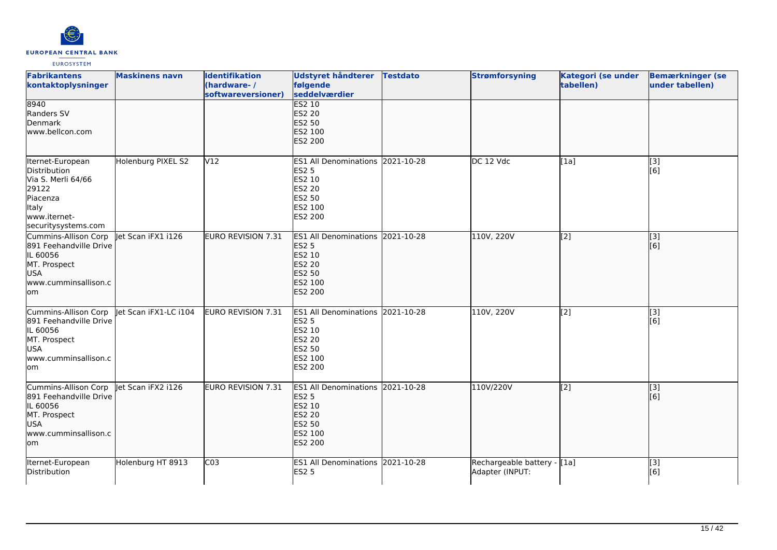

| <b>Fabrikantens</b><br>kontaktoplysninger                                                                                   | <b>Maskinens navn</b> | <b>Identifikation</b><br>(hardware-/<br>softwareversioner) | Udstyret håndterer<br>følgende<br>seddelværdier                                                                                  | <b>Testdato</b> | <b>Strømforsyning</b>                          | Kategori (se under<br>tabellen) | <b>Bemærkninger (se</b><br>under tabellen) |
|-----------------------------------------------------------------------------------------------------------------------------|-----------------------|------------------------------------------------------------|----------------------------------------------------------------------------------------------------------------------------------|-----------------|------------------------------------------------|---------------------------------|--------------------------------------------|
| 8940<br>Randers SV<br>Denmark<br>www.bellcon.com                                                                            |                       |                                                            | <b>ES2 10</b><br>ES2 20<br><b>ES2 50</b><br>ES2 100<br><b>ES2 200</b>                                                            |                 |                                                |                                 |                                            |
| Iternet-European<br>Distribution<br>Via S. Merli 64/66<br>29122<br>Piacenza<br>Italy<br>www.iternet-<br>securitysystems.com | Holenburg PIXEL S2    | V12                                                        | ES1 All Denominations 2021-10-28<br>ES2 5<br>ES2 10<br><b>ES2 20</b><br>ES2 50<br>ES2 100<br>ES2 200                             |                 | DC 12 Vdc                                      | [1a]                            | [3]<br>[6]                                 |
| Cummins-Allison Corp<br>891 Feehandville Drive<br>IL 60056<br>MT. Prospect<br>USA<br>www.cumminsallison.c<br>lom            | let Scan iFX1 i126    | EURO REVISION 7.31                                         | ES1 All Denominations 2021-10-28<br><b>ES2 5</b><br><b>ES2 10</b><br><b>ES2 20</b><br>ES2 50<br>ES2 100<br><b>ES2 200</b>        |                 | 110V, 220V                                     | [2]                             | $\overline{[}3]$<br>[6]                    |
| Cummins-Allison Corp<br>891 Feehandville Drive<br>IL 60056<br>MT. Prospect<br><b>USA</b><br>www.cumminsallison.c<br>lom     | let Scan iFX1-LC i104 | EURO REVISION 7.31                                         | ES1 All Denominations 2021-10-28<br><b>ES2 5</b><br>ES2 10<br>ES2 20<br><b>ES2 50</b><br>ES2 100<br>ES2 200                      |                 | 110V, 220V                                     | [2]                             | $\overline{[3]}$<br>[6]                    |
| Cummins-Allison Corp<br>891 Feehandville Drive<br>IL 60056<br>MT. Prospect<br>USA<br>www.cumminsallison.c<br>lom            | let Scan iFX2 i126    | EURO REVISION 7.31                                         | ES1 All Denominations 2021-10-28<br><b>ES2 5</b><br><b>ES2 10</b><br><b>ES2 20</b><br><b>ES2 50</b><br>ES2 100<br><b>ES2 200</b> |                 | 110V/220V                                      | [2]                             | [3]<br>[6]                                 |
| Iternet-European<br>Distribution                                                                                            | Holenburg HT 8913     | CO <sub>3</sub>                                            | ES1 All Denominations 2021-10-28<br><b>ES2 5</b>                                                                                 |                 | Rechargeable battery - [1a]<br>Adapter (INPUT: |                                 | [3]<br>[6]                                 |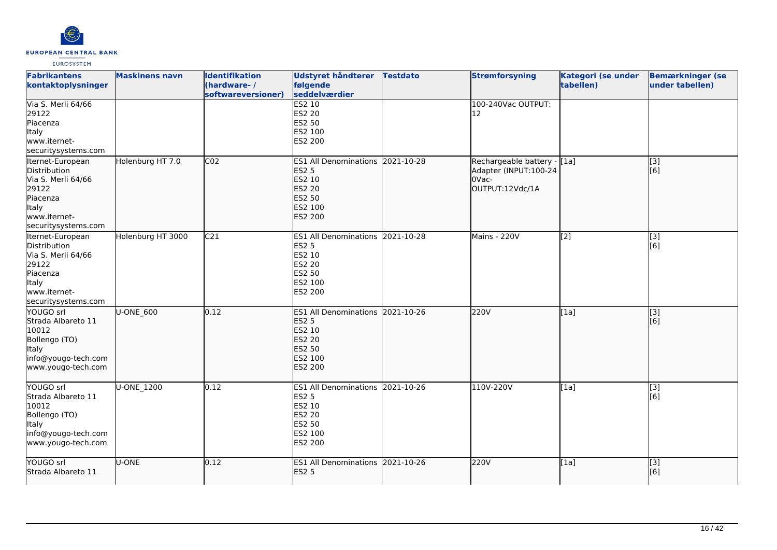

| <b>Fabrikantens</b><br>kontaktoplysninger                                                                                   | <b>Maskinens navn</b> | <b>Identifikation</b><br>(hardware-/<br>softwareversioner) | <b>Udstyret håndterer</b><br>følgende<br>seddelværdier                                                      | <b>Testdato</b> | <b>Strømforsyning</b>                                                             | <b>Kategori (se under</b><br>tabellen) | <b>Bemærkninger (se</b><br>under tabellen) |
|-----------------------------------------------------------------------------------------------------------------------------|-----------------------|------------------------------------------------------------|-------------------------------------------------------------------------------------------------------------|-----------------|-----------------------------------------------------------------------------------|----------------------------------------|--------------------------------------------|
| Via S. Merli 64/66<br>29122<br>Piacenza<br>Italy<br>www.iternet-<br>securitysystems.com                                     |                       |                                                            | <b>ES2 10</b><br>ES2 20<br>ES2 50<br>ES2 100<br>ES2 200                                                     |                 | 100-240Vac OUTPUT:<br>12                                                          |                                        |                                            |
| Iternet-European<br>Distribution<br>Via S. Merli 64/66<br>29122<br>Piacenza<br>ltaly<br>www.iternet-<br>securitysystems.com | Holenburg HT 7.0      | CO <sub>2</sub>                                            | <b>ES1 All Denominations</b><br><b>ES2 5</b><br>ES2 10<br>ES2 20<br>ES2 50<br>ES2 100<br>ES2 200            | 2021-10-28      | Rechargeable battery - [[1a]<br>Adapter (INPUT:100-24<br>0Vac-<br>OUTPUT:12Vdc/1A |                                        | [[3]<br>[[6]                               |
| Iternet-European<br>Distribution<br>Via S. Merli 64/66<br>29122<br>Piacenza<br>Italy<br>www.iternet-<br>securitysystems.com | Holenburg HT 3000     | C <sub>21</sub>                                            | ES1 All Denominations 2021-10-28<br>ES2 5<br>ES2 10<br>ES2 20<br>ES2 50<br>ES2 100<br>ES2 200               |                 | Mains - 220V                                                                      | [2]                                    | [3]<br>[6]                                 |
| YOUGO srl<br>Strada Albareto 11<br>10012<br>Bollengo (TO)<br><b>Italy</b><br>info@yougo-tech.com<br>www.yougo-tech.com      | U-ONE_600             | 0.12                                                       | ES1 All Denominations 2021-10-26<br><b>ES2 5</b><br>ES2 10<br><b>ES2 20</b><br>ES2 50<br>ES2 100<br>ES2 200 |                 | 220V                                                                              | [1a]                                   | [3]<br>[6]                                 |
| YOUGO srl<br>Strada Albareto 11<br>10012<br>Bollengo (TO)<br><b>Italy</b><br>info@yougo-tech.com<br>www.yougo-tech.com      | U-ONE_1200            | 0.12                                                       | ES1 All Denominations 2021-10-26<br>ES2 5<br>ES2 10<br>ES2 20<br>ES2 50<br>ES2 100<br>ES2 200               |                 | 110V-220V                                                                         | [1a]                                   | [3]<br>[6]                                 |
| YOUGO srl<br>Strada Albareto 11                                                                                             | U-ONE                 | 0.12                                                       | ES1 All Denominations 2021-10-26<br><b>ES2 5</b>                                                            |                 | 220V                                                                              | [1a]                                   | [3]<br>[6]                                 |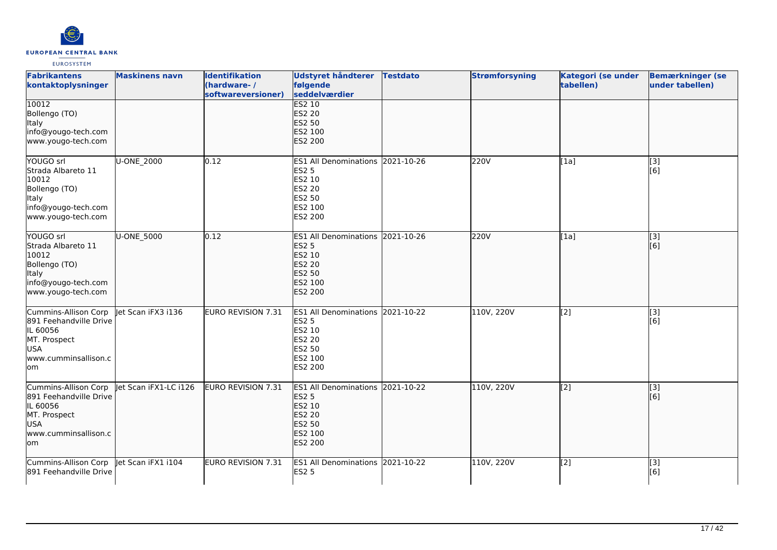

| <b>Fabrikantens</b><br>kontaktoplysninger                                                                               | <b>Maskinens navn</b> | <b>Identifikation</b><br>(hardware-/<br>softwareversioner) | Udstyret håndterer<br>følgende<br>seddelværdier                                                                    | <b>Testdato</b> | <b>Strømforsyning</b> | Kategori (se under<br>tabellen) | <b>Bemærkninger (se</b><br>under tabellen) |
|-------------------------------------------------------------------------------------------------------------------------|-----------------------|------------------------------------------------------------|--------------------------------------------------------------------------------------------------------------------|-----------------|-----------------------|---------------------------------|--------------------------------------------|
| 10012<br>Bollengo (TO)<br>Italy<br>info@yougo-tech.com<br>www.yougo-tech.com                                            |                       |                                                            | <b>ES2 10</b><br>ES2 20<br><b>ES2 50</b><br>ES2 100<br><b>ES2 200</b>                                              |                 |                       |                                 |                                            |
| YOUGO srl<br>Strada Albareto 11<br>10012<br>Bollengo (TO)<br>Italy<br>info@yougo-tech.com<br>www.yougo-tech.com         | U-ONE_2000            | 0.12                                                       | <b>ES1 All Denominations</b><br>ES2 5<br>ES2 10<br>ES2 20<br>ES2 50<br>ES2 100<br>ES2 200                          | 2021-10-26      | 220V                  | [1a]                            | [3]<br>[6]                                 |
| YOUGO srl<br>Strada Albareto 11<br>10012<br>Bollengo (TO)<br>Italy<br>info@yougo-tech.com<br>www.yougo-tech.com         | U-ONE_5000            | 0.12                                                       | ES1 All Denominations 2021-10-26<br><b>ES2 5</b><br>ES2 10<br>ES2 20<br><b>ES2 50</b><br>ES2 100<br><b>ES2 200</b> |                 | 220V                  | [[1a]                           | $\overline{[}$ [3]<br>[6]                  |
| Cummins-Allison Corp<br>891 Feehandville Drive<br>IL 60056<br>MT. Prospect<br><b>USA</b><br>www.cumminsallison.c<br>lom | let Scan iFX3 i136    | <b>EURO REVISION 7.31</b>                                  | ES1 All Denominations 2021-10-22<br><b>ES2 5</b><br>ES2 10<br><b>ES2 20</b><br>ES2 50<br>ES2 100<br>ES2 200        |                 | 110V, 220V            | [2]                             | [3]<br>[6]                                 |
| Cummins-Allison Corp<br>891 Feehandville Drive<br>IL 60056<br>MT. Prospect<br><b>USA</b><br>www.cumminsallison.c<br>lom | let Scan iFX1-LC i126 | EURO REVISION 7.31                                         | ES1 All Denominations 2021-10-22<br><b>ES2 5</b><br>ES2 10<br><b>ES2 20</b><br>ES2 50<br>ES2 100<br><b>ES2 200</b> |                 | 110V, 220V            | $\sqrt{2}$                      | [3]<br>[6]                                 |
| Cummins-Allison Corp<br>891 Feehandville Drive                                                                          | let Scan iFX1 i104    | EURO REVISION 7.31                                         | ES1 All Denominations 2021-10-22<br><b>ES2 5</b>                                                                   |                 | 110V, 220V            | $\overline{[2]}$                | $\overline{[3]}$<br>[6]                    |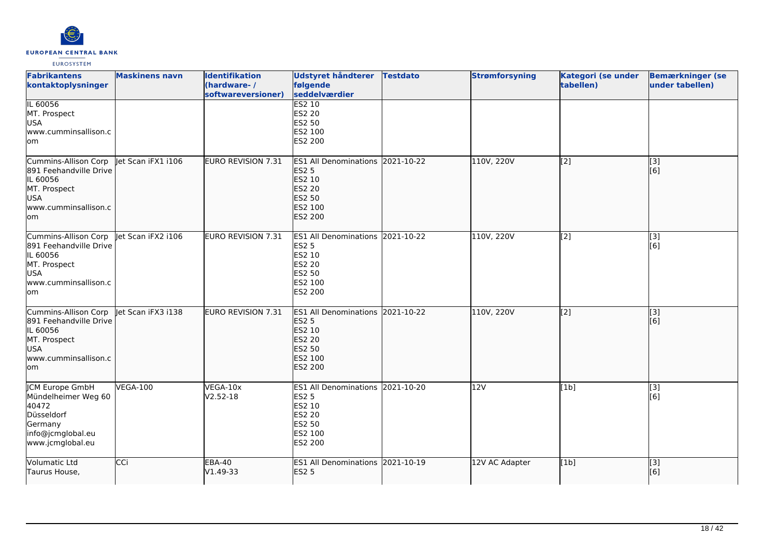

| <b>Fabrikantens</b><br>kontaktoplysninger                                                                               | <b>Maskinens navn</b> | <b>Identifikation</b><br>(hardware-/<br>softwareversioner) | <b>Udstyret håndterer</b><br>følgende<br>seddelværdier                                                                    | <b>Testdato</b> | <b>Strømforsyning</b> | Kategori (se under<br>tabellen) | <b>Bemærkninger (se</b><br>under tabellen) |
|-------------------------------------------------------------------------------------------------------------------------|-----------------------|------------------------------------------------------------|---------------------------------------------------------------------------------------------------------------------------|-----------------|-----------------------|---------------------------------|--------------------------------------------|
| IL 60056<br>MT. Prospect<br><b>USA</b><br>www.cumminsallison.c<br>lom                                                   |                       |                                                            | <b>ES2 10</b><br>ES2 20<br><b>ES2 50</b><br>ES2 100<br>ES2 200                                                            |                 |                       |                                 |                                            |
| Cummins-Allison Corp<br>891 Feehandville Drive<br>IL 60056<br>MT. Prospect<br>USA<br>www.cumminsallison.c<br>lom        | let Scan iFX1 i106    | EURO REVISION 7.31                                         | <b>ES1 All Denominations</b><br><b>ES2 5</b><br>ES2 10<br><b>ES2 20</b><br><b>ES2 50</b><br>ES2 100<br><b>ES2 200</b>     | 2021-10-22      | 110V, 220V            | [[2]                            | [[3]<br>[[6]                               |
| Cummins-Allison Corp<br>891 Feehandville Drive<br>IL 60056<br>MT. Prospect<br><b>USA</b><br>www.cumminsallison.c<br>lom | let Scan iFX2 i106    | <b>EURO REVISION 7.31</b>                                  | <b>ES1 All Denominations</b><br><b>ES2 5</b><br>ES2 10<br><b>ES2 20</b><br><b>ES2 50</b><br>ES2 100<br><b>ES2 200</b>     | 2021-10-22      | 110V, 220V            | [2]                             | [3]<br>[6]                                 |
| Cummins-Allison Corp<br>891 Feehandville Drive<br>IL 60056<br>MT. Prospect<br><b>USA</b><br>www.cumminsallison.c<br>lom | let Scan iFX3 i138    | EURO REVISION 7.31                                         | ES1 All Denominations 2021-10-22<br><b>ES2 5</b><br>ES2 10<br><b>ES2 20</b><br><b>ES2 50</b><br>ES2 100<br><b>ES2 200</b> |                 | 110V, 220V            | [2]                             | [3]<br>[6]                                 |
| JCM Europe GmbH<br>Mündelheimer Weg 60<br>40472<br>Düsseldorf<br>Germany<br>info@jcmglobal.eu<br>www.jcmglobal.eu       | <b>VEGA-100</b>       | VEGA-10x<br>$V2.52 - 18$                                   | <b>ES1 All Denominations</b><br><b>ES2 5</b><br>ES2 10<br><b>ES2 20</b><br><b>ES2 50</b><br>ES2 100<br>ES2 200            | 2021-10-20      | 12V                   | [1b]                            | [3]<br>[6]                                 |
| Volumatic Ltd<br>Taurus House,                                                                                          | CCi                   | <b>EBA-40</b><br>V1.49-33                                  | ES1 All Denominations 2021-10-19<br><b>ES2 5</b>                                                                          |                 | 12V AC Adapter        | [1b]                            | $\overline{[3]}$<br>[6]                    |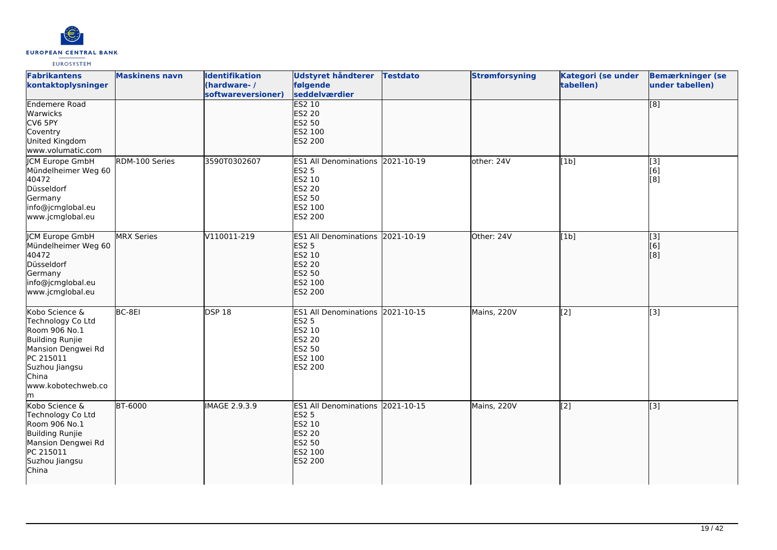

| <b>Fabrikantens</b><br>kontaktoplysninger                                                                                                                               | <b>Maskinens navn</b> | <b>Identifikation</b><br>(hardware-/<br>softwareversioner) | Udstyret håndterer<br>følgende<br>seddelværdier                                                             | <b>Testdato</b> | <b>Strømforsyning</b> | Kategori (se under<br>tabellen) | <b>Bemærkninger (se</b><br>under tabellen) |
|-------------------------------------------------------------------------------------------------------------------------------------------------------------------------|-----------------------|------------------------------------------------------------|-------------------------------------------------------------------------------------------------------------|-----------------|-----------------------|---------------------------------|--------------------------------------------|
| <b>Endemere Road</b><br>Warwicks<br>CV6 5PY<br>Coventry<br>United Kingdom<br>www.volumatic.com                                                                          |                       |                                                            | <b>ES2 10</b><br><b>ES2 20</b><br><b>ES2 50</b><br>ES2 100<br><b>ES2 200</b>                                |                 |                       |                                 | $\overline{[8]}$                           |
| <b>ICM Europe GmbH</b><br>Mündelheimer Weg 60<br>40472<br>Düsseldorf<br>Germany<br>info@jcmglobal.eu<br>www.jcmglobal.eu                                                | RDM-100 Series        | 3590T0302607                                               | ES1 All Denominations 2021-10-19<br><b>ES2 5</b><br>ES2 10<br><b>ES2 20</b><br>ES2 50<br>ES2 100<br>ES2 200 |                 | other: 24V            | [1b]                            | [3]<br>[6]<br>[8]                          |
| <b>JCM Europe GmbH</b><br>Mündelheimer Weg 60<br>40472<br>Düsseldorf<br>Germany<br>info@jcmglobal.eu<br>www.jcmglobal.eu                                                | <b>MRX</b> Series     | V110011-219                                                | ES1 All Denominations 2021-10-19<br><b>ES2 5</b><br>ES2 10<br>ES2 20<br>ES2 50<br>ES2 100<br><b>ES2 200</b> |                 | lOther: 24V           | [1b]                            | $\overline{[}3]$<br>[6]<br>[8]             |
| Kobo Science &<br>Technology Co Ltd<br>Room 906 No.1<br><b>Building Runjie</b><br>Mansion Dengwei Rd<br>PC 215011<br>Suzhou Jiangsu<br>China<br>www.kobotechweb.co<br>m | BC-8EI                | DSP <sub>18</sub>                                          | ES1 All Denominations 2021-10-15<br><b>ES2 5</b><br>ES2 10<br>ES2 20<br>ES2 50<br>ES2 100<br>ES2 200        |                 | Mains, 220V           | [2]                             | $\overline{[3]}$                           |
| Kobo Science &<br>Technology Co Ltd<br>Room 906 No.1<br>Building Runjie<br>Mansion Dengwei Rd<br>PC 215011<br>Suzhou Jiangsu<br>China                                   | <b>BT-6000</b>        | IMAGE 2.9.3.9                                              | ES1 All Denominations 2021-10-15<br><b>ES2 5</b><br>ES2 10<br>ES2 20<br>ES2 50<br>ES2 100<br><b>ES2 200</b> |                 | Mains, 220V           | $\overline{[2]}$                | $\overline{[}3]$                           |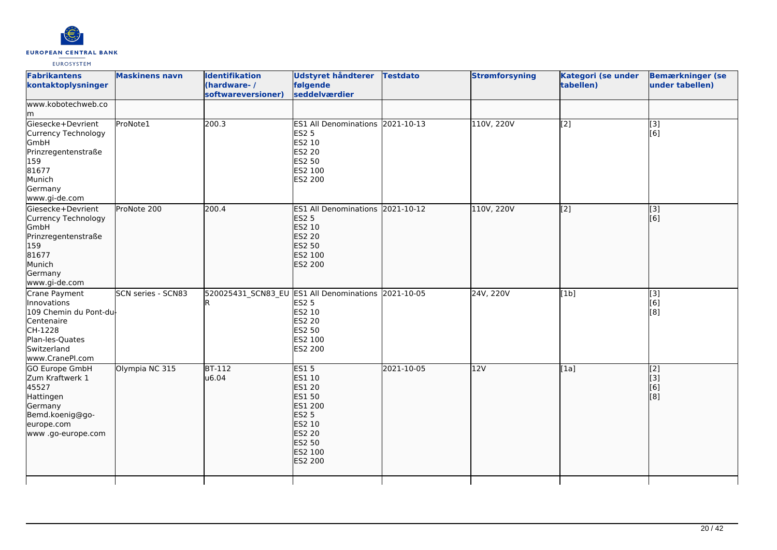

| <b>Maskinens navn</b>                       | <b>Identifikation</b> | <b>Udstyret håndterer</b><br>følgende                                    | <b>Testdato</b>                                                                                                                                                                                                                                                                                                                                           | <b>Strømforsyning</b>                                                                                                       | Kategori (se under<br>tabellen) | <b>Bemærkninger (se</b><br>under tabellen) |
|---------------------------------------------|-----------------------|--------------------------------------------------------------------------|-----------------------------------------------------------------------------------------------------------------------------------------------------------------------------------------------------------------------------------------------------------------------------------------------------------------------------------------------------------|-----------------------------------------------------------------------------------------------------------------------------|---------------------------------|--------------------------------------------|
|                                             |                       |                                                                          |                                                                                                                                                                                                                                                                                                                                                           |                                                                                                                             |                                 |                                            |
| ProNote1                                    |                       |                                                                          |                                                                                                                                                                                                                                                                                                                                                           | 110V, 220V                                                                                                                  | $\overline{[2]}$                | $\overline{[3]}$<br>[6]                    |
| ProNote 200                                 |                       |                                                                          |                                                                                                                                                                                                                                                                                                                                                           | 110V, 220V                                                                                                                  |                                 | $\overline{[}3]$<br>[6]                    |
| SCN series - SCN83<br>109 Chemin du Pont-du |                       | <b>ES2 20</b>                                                            |                                                                                                                                                                                                                                                                                                                                                           | 24V, 220V                                                                                                                   | [1b]                            | [3]<br>[6]<br>[8]                          |
| Olympia NC 315                              |                       |                                                                          | 2021-10-05                                                                                                                                                                                                                                                                                                                                                | 12V                                                                                                                         | [1a]                            | $\overline{[2]}$<br>[3]<br>[6]<br>[8]      |
|                                             |                       | (hardware-/<br>softwareversioner)<br>200.3<br>200.4<br>$BT-112$<br>u6.04 | seddelværdier<br><b>ES2 5</b><br>ES2 10<br>ES2 20<br>ES2 50<br>ES2 100<br>ES2 200<br><b>ES2 5</b><br>ES2 10<br><b>ES2 20</b><br>ES2 50<br>ES2 100<br>ES2 200<br>ES2 5<br>ES2 10<br>ES2 50<br>ES2 100<br>ES2 200<br><b>ES15</b><br>ES1 10<br>ES1 20<br>ES1 50<br>ES1 200<br><b>ES2 5</b><br>ES2 10<br><b>ES2 20</b><br>ES2 50<br>ES2 100<br><b>ES2 200</b> | ES1 All Denominations 2021-10-13<br>ES1 All Denominations 2021-10-12<br>520025431_SCN83_EU ES1 All Denominations 2021-10-05 |                                 | $\overline{[2]}$                           |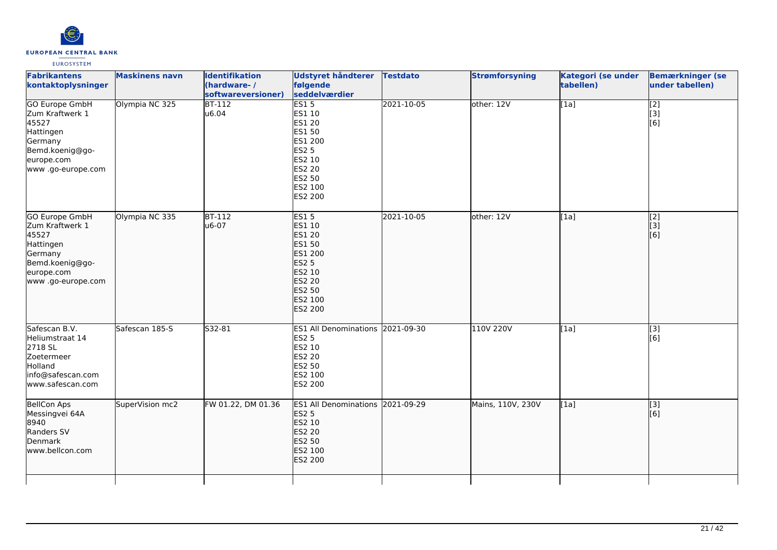

| <b>Fabrikantens</b><br>kontaktoplysninger                                                                                       | <b>Maskinens navn</b> | <b>Identifikation</b><br>(hardware-/<br>softwareversioner) | <b>Udstyret håndterer</b><br>følgende<br>seddelværdier                                                                                 | <b>Testdato</b> | <b>Strømforsyning</b> | Kategori (se under<br>tabellen) | <b>Bemærkninger (se</b><br>under tabellen)    |
|---------------------------------------------------------------------------------------------------------------------------------|-----------------------|------------------------------------------------------------|----------------------------------------------------------------------------------------------------------------------------------------|-----------------|-----------------------|---------------------------------|-----------------------------------------------|
| <b>GO Europe GmbH</b><br>Zum Kraftwerk 1<br>45527<br>Hattingen<br>Germany<br>Bemd.koenig@go-<br>europe.com<br>www.go-europe.com | Olympia NC 325        | $BT-112$<br>u6.04                                          | ES15<br>ES1 10<br>ES1 20<br>ES1 50<br>ES1 200<br><b>ES2 5</b><br>ES2 10<br>ES2 20<br>ES2 50<br>ES2 100<br>ES2 200                      | 2021-10-05      | other: 12V            | [1a]                            | $\begin{bmatrix} 2 \\ 3 \end{bmatrix}$<br>[6] |
| GO Europe GmbH<br>Zum Kraftwerk 1<br>45527<br>Hattingen<br>Germany<br>Bemd.koenig@go-<br>europe.com<br>www.go-europe.com        | Olympia NC 335        | <b>BT-112</b><br>u6-07                                     | <b>ES15</b><br>ES1 10<br><b>ES1 20</b><br>ES1 50<br>ES1 200<br><b>ES2 5</b><br>ES2 10<br><b>ES2 20</b><br>ES2 50<br>ES2 100<br>ES2 200 | 2021-10-05      | other: 12V            | [1a]                            | $\begin{bmatrix} 2 \\ 3 \end{bmatrix}$<br>[6] |
| Safescan B.V.<br>Heliumstraat 14<br>2718 SL<br>Zoetermeer<br>Holland<br>info@safescan.com<br>www.safescan.com                   | Safescan 185-S        | S32-81                                                     | ES1 All Denominations 2021-09-30<br><b>ES2 5</b><br>ES2 10<br><b>ES2 20</b><br>ES2 50<br>ES2 100<br>ES2 200                            |                 | 110V 220V             | [1a]                            | [3]<br>[6]                                    |
| BellCon Aps<br>Messingvei 64A<br>8940<br>Randers SV<br>Denmark<br>www.bellcon.com                                               | SuperVision mc2       | FW 01.22, DM 01.36                                         | ES1 All Denominations 2021-09-29<br><b>ES2 5</b><br>ES2 10<br><b>ES2 20</b><br>ES2 50<br>ES2 100<br>ES2 200                            |                 | Mains, 110V, 230V     | [1a]                            | $\vert$ [3]<br>[6]                            |
|                                                                                                                                 |                       |                                                            |                                                                                                                                        |                 |                       |                                 |                                               |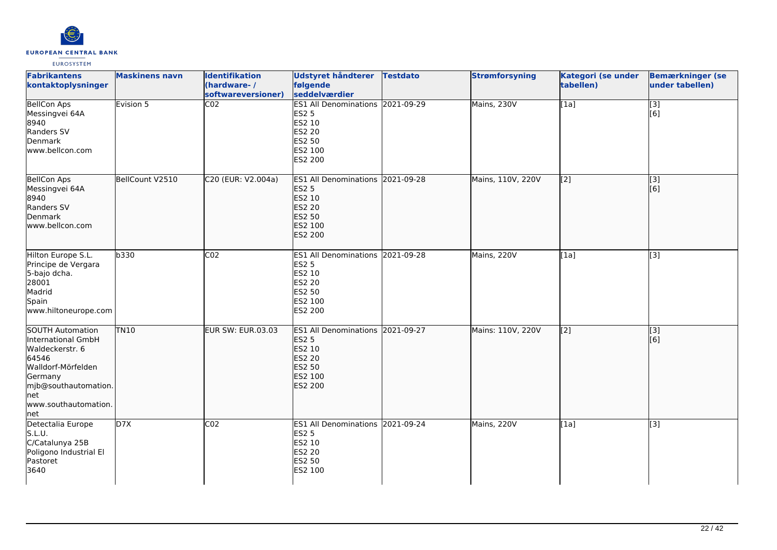

| <b>Fabrikantens</b><br>kontaktoplysninger                                                                                                                                  | <b>Maskinens navn</b> | <b>Identifikation</b><br>(hardware-/<br>softwareversioner) | Udstyret håndterer Testdato<br>følgende<br>seddelværdier                                                    | <b>Strømforsyning</b> | Kategori (se under<br>tabellen) | <b>Bemærkninger (se</b><br>under tabellen) |
|----------------------------------------------------------------------------------------------------------------------------------------------------------------------------|-----------------------|------------------------------------------------------------|-------------------------------------------------------------------------------------------------------------|-----------------------|---------------------------------|--------------------------------------------|
| <b>BellCon Aps</b><br>Messingvei 64A<br>8940<br>Randers SV<br>Denmark<br>www.bellcon.com                                                                                   | Evision 5             | CO <sub>2</sub>                                            | ES1 All Denominations 2021-09-29<br><b>ES2 5</b><br>ES2 10<br>ES2 20<br>ES2 50<br>ES2 100<br>ES2 200        | Mains, 230V           | [1a]                            | [3]<br>[6]                                 |
| <b>BellCon Aps</b><br>Messingvei 64A<br>8940<br>Randers SV<br>Denmark<br>www.bellcon.com                                                                                   | BellCount V2510       | C20 (EUR: V2.004a)                                         | ES1 All Denominations 2021-09-28<br><b>ES2 5</b><br>ES2 10<br><b>ES2 20</b><br>ES2 50<br>ES2 100<br>ES2 200 | Mains, 110V, 220V     | $\overline{[2]}$                | $\overline{[3]}$<br>[6]                    |
| Hilton Europe S.L.<br>Principe de Vergara<br>5-bajo dcha.<br>28001<br>Madrid<br>Spain<br>www.hiltoneurope.com                                                              | b330                  | CO <sub>2</sub>                                            | ES1 All Denominations 2021-09-28<br><b>ES2 5</b><br>ES2 10<br>ES2 20<br>ES2 50<br>ES2 100<br>ES2 200        | Mains, 220V           | [1a]                            | [3]                                        |
| <b>SOUTH Automation</b><br>International GmbH<br>Waldeckerstr. 6<br>64546<br>Walldorf-Mörfelden<br>Germany<br>mjb@southautomation.<br>lnet<br>www.southautomation.<br> net | <b>TN10</b>           | <b>EUR SW: EUR.03.03</b>                                   | ES1 All Denominations 2021-09-27<br><b>ES2 5</b><br>ES2 10<br><b>ES2 20</b><br>ES2 50<br>ES2 100<br>ES2 200 | Mains: 110V, 220V     | $\overline{[2]}$                | $\overline{[}3]$<br>[6]                    |
| Detectalia Europe<br>S.L.U.<br>C/Catalunya 25B<br>Poligono Industrial El<br>Pastoret<br>3640                                                                               | D7X                   | CO <sub>2</sub>                                            | ES1 All Denominations 2021-09-24<br><b>ES2 5</b><br>ES2 10<br>ES2 20<br>ES2 50<br>ES2 100                   | Mains, 220V           | [1a]                            | $\overline{[3]}$                           |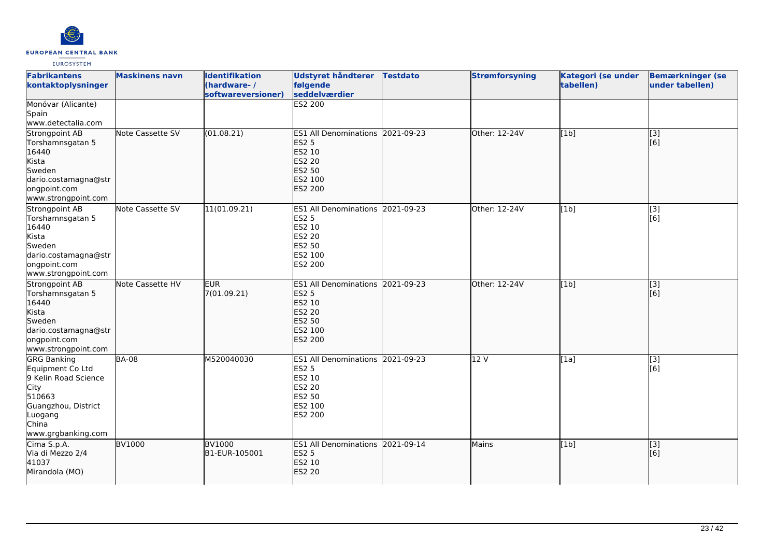

| <b>Fabrikantens</b><br>kontaktoplysninger                                                                                                         | <b>Maskinens navn</b> | <b>Identifikation</b><br>(hardware-/<br>softwareversioner) | Udstyret håndterer<br>følgende<br>seddelværdier                                                                           | <b>Testdato</b> | <b>Strømforsyning</b> | Kategori (se under<br>tabellen) | <b>Bemærkninger (se</b><br>under tabellen) |
|---------------------------------------------------------------------------------------------------------------------------------------------------|-----------------------|------------------------------------------------------------|---------------------------------------------------------------------------------------------------------------------------|-----------------|-----------------------|---------------------------------|--------------------------------------------|
| Monóvar (Alicante)<br>Spain<br>www.detectalia.com                                                                                                 |                       |                                                            | <b>ES2 200</b>                                                                                                            |                 |                       |                                 |                                            |
| Strongpoint AB<br>Torshamnsgatan 5<br>16440<br>Kista<br>Sweden<br>dario.costamagna@str<br>ongpoint.com<br>www.strongpoint.com                     | Note Cassette SV      | (01.08.21)                                                 | ES1 All Denominations 2021-09-23<br><b>ES2 5</b><br>ES2 10<br><b>ES2 20</b><br><b>ES2 50</b><br>ES2 100<br><b>ES2 200</b> |                 | Other: 12-24V         | [1b]                            | $\overline{[}3]$<br>[6]                    |
| Strongpoint AB<br>Torshamnsgatan 5<br>16440<br>Kista<br>Sweden<br>dario.costamagna@str<br>ongpoint.com<br>www.strongpoint.com                     | Note Cassette SV      | 11(01.09.21)                                               | ES1 All Denominations 2021-09-23<br><b>ES2 5</b><br>ES2 10<br><b>ES2 20</b><br>ES2 50<br>ES2 100<br>ES2 200               |                 | Other: 12-24V         | [1b]                            | [3]<br>[6]                                 |
| Strongpoint AB<br>Torshamnsgatan 5<br>16440<br>Kista<br>Sweden<br>dario.costamagna@str<br>ongpoint.com<br>www.strongpoint.com                     | Note Cassette HV      | <b>EUR</b><br>7(01.09.21)                                  | ES1 All Denominations 2021-09-23<br><b>ES2 5</b><br>ES2 10<br>ES2 20<br><b>ES2 50</b><br>ES2 100<br><b>ES2 200</b>        |                 | Other: 12-24V         | [1b]                            | $\overline{[3]}$<br>[6]                    |
| <b>GRG Banking</b><br>Equipment Co Ltd<br>9 Kelin Road Science<br>City<br>510663<br>Guangzhou, District<br>Luogang<br>China<br>www.grgbanking.com | <b>BA-08</b>          | M520040030                                                 | ES1 All Denominations 2021-09-23<br><b>ES2 5</b><br>ES2 10<br>ES2 20<br>ES2 50<br>ES2 100<br>ES2 200                      |                 | 12V                   | [1a]                            | [3]<br>[6]                                 |
| Cima S.p.A.<br>Via di Mezzo 2/4<br>41037<br>Mirandola (MO)                                                                                        | <b>BV1000</b>         | <b>BV1000</b><br>B1-EUR-105001                             | ES1 All Denominations 2021-09-14<br><b>ES2 5</b><br>ES2 10<br>ES2 20                                                      |                 | Mains                 | [1b]                            | $\vert$ [3]<br>[6]                         |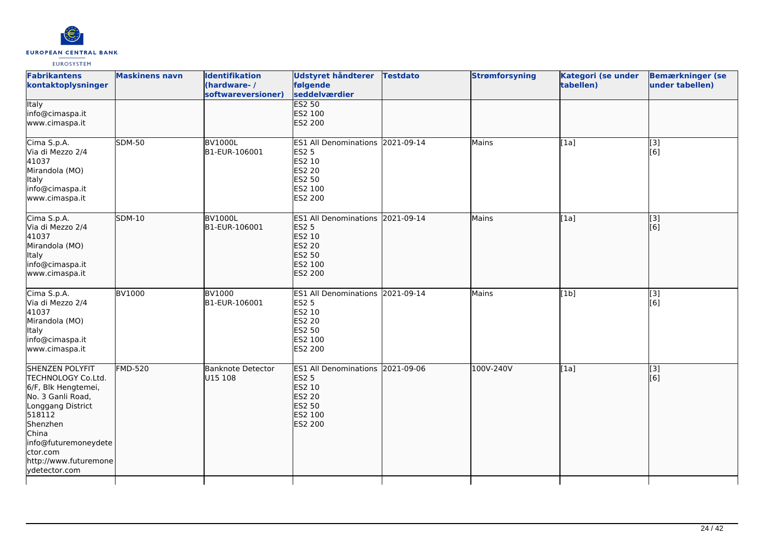

| <b>Fabrikantens</b><br>kontaktoplysninger                                                                                                                                                                                  | <b>Maskinens navn</b> | <b>Identifikation</b><br>(hardware-/<br>softwareversioner) | <b>Udstyret håndterer</b><br>følgende<br>seddelværdier                                                      | <b>Testdato</b> | <b>Strømforsyning</b> | Kategori (se under<br>tabellen) | <b>Bemærkninger (se</b><br>under tabellen) |
|----------------------------------------------------------------------------------------------------------------------------------------------------------------------------------------------------------------------------|-----------------------|------------------------------------------------------------|-------------------------------------------------------------------------------------------------------------|-----------------|-----------------------|---------------------------------|--------------------------------------------|
| <b>Italy</b><br>info@cimaspa.it<br>www.cimaspa.it                                                                                                                                                                          |                       |                                                            | <b>ES2 50</b><br>ES2 100<br>ES2 200                                                                         |                 |                       |                                 |                                            |
| Cima S.p.A.<br>Via di Mezzo 2/4<br>41037<br>Mirandola (MO)<br>Italy<br>info@cimaspa.it<br>www.cimaspa.it                                                                                                                   | <b>SDM-50</b>         | <b>BV1000L</b><br>B1-EUR-106001                            | ES1 All Denominations 2021-09-14<br>ES2 5<br>ES2 10<br>ES2 20<br>ES2 50<br>ES2 100<br>ES2 200               |                 | Mains                 | [1a]                            | [3]<br>[6]                                 |
| Cima S.p.A.<br>Via di Mezzo 2/4<br>41037<br>Mirandola (MO)<br><b>Italy</b><br>info@cimaspa.it<br>www.cimaspa.it                                                                                                            | <b>SDM-10</b>         | <b>BV1000L</b><br>B1-EUR-106001                            | ES1 All Denominations 2021-09-14<br><b>ES2 5</b><br>ES2 10<br><b>ES2 20</b><br>ES2 50<br>ES2 100<br>ES2 200 |                 | Mains                 | [1a]                            | [3]<br>[6]                                 |
| Cima S.p.A.<br>Via di Mezzo 2/4<br>41037<br>Mirandola (MO)<br>Italy<br>info@cimaspa.it<br>www.cimaspa.it                                                                                                                   | <b>BV1000</b>         | <b>BV1000</b><br>B1-EUR-106001                             | ES1 All Denominations 2021-09-14<br>ES2 5<br>ES2 10<br>ES2 20<br>ES2 50<br>ES2 100<br>ES2 200               |                 | Mains                 | [1b]                            | [3]<br>[6]                                 |
| <b>SHENZEN POLYFIT</b><br>TECHNOLOGY Co.Ltd.<br>6/F, Blk Hengtemei,<br>No. 3 Ganli Road,<br>Longgang District<br>518112<br>Shenzhen<br>China<br>info@futuremoneydete<br>ctor.com<br>http://www.futuremone<br>ydetector.com | <b>FMD-520</b>        | <b>Banknote Detector</b><br>U15 108                        | ES1 All Denominations 2021-09-06<br><b>ES2 5</b><br>ES2 10<br><b>ES2 20</b><br>ES2 50<br>ES2 100<br>ES2 200 |                 | 100V-240V             | [1a]                            | $\overline{[}3]$<br>[6]                    |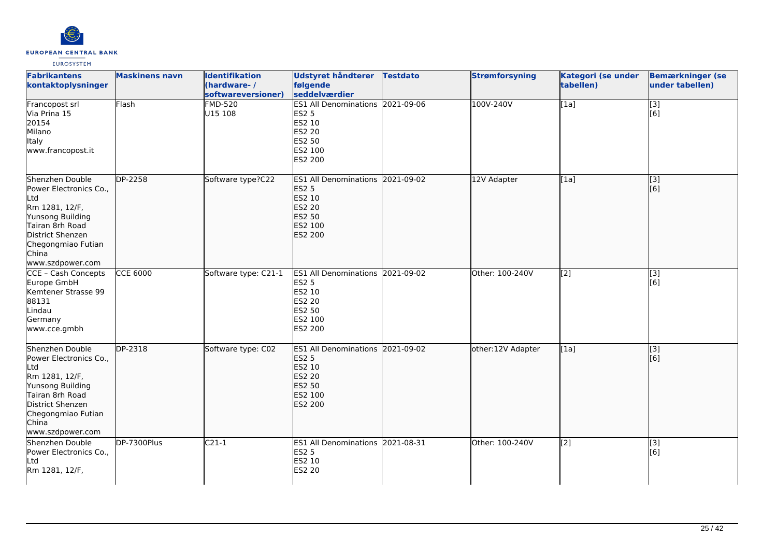

| <b>Fabrikantens</b><br>kontaktoplysninger                                                                                                                                        | <b>Maskinens navn</b> | <b>Identifikation</b><br>(hardware-/<br>softwareversioner) | Udstyret håndterer Testdato<br>følgende<br>seddelværdier                                                           | <b>Strømforsyning</b> | Kategori (se under<br>tabellen) | <b>Bemærkninger (se</b><br>under tabellen) |
|----------------------------------------------------------------------------------------------------------------------------------------------------------------------------------|-----------------------|------------------------------------------------------------|--------------------------------------------------------------------------------------------------------------------|-----------------------|---------------------------------|--------------------------------------------|
| Francopost srl<br>Via Prina 15<br>20154<br>Milano<br>Italy<br>www.francopost.it                                                                                                  | Flash                 | <b>FMD-520</b><br>U15 108                                  | ES1 All Denominations 2021-09-06<br>ES2 5<br>ES2 10<br>ES2 20<br>ES2 50<br>ES2 100<br>ES2 200                      | 100V-240V             | [1a]                            | [3]<br>[6]                                 |
| Shenzhen Double<br>Power Electronics Co.,<br>Ltd<br>Rm 1281, 12/F,<br>Yunsong Building<br>Tairan 8rh Road<br>District Shenzen<br>Chegongmiao Futian<br>China<br>www.szdpower.com | DP-2258               | Software type?C22                                          | ES1 All Denominations 2021-09-02<br><b>ES2 5</b><br>ES2 10<br><b>ES2 20</b><br>ES2 50<br>ES2 100<br>ES2 200        | 12V Adapter           | [1a]                            | [3]<br>[6]                                 |
| <b>CCE - Cash Concepts</b><br>Europe GmbH<br>Kemtener Strasse 99<br>88131<br>Lindau<br>Germany<br>www.cce.gmbh                                                                   | <b>CCE 6000</b>       | Software type: C21-1                                       | ES1 All Denominations 2021-09-02<br><b>ES2 5</b><br>ES2 10<br>ES2 20<br>ES2 50<br>ES2 100<br>ES2 200               | Other: 100-240V       | $\overline{[2]}$                | [3]<br>[6]                                 |
| Shenzhen Double<br>Power Electronics Co.,<br>Ltd<br>Rm 1281, 12/F,<br>Yunsong Building<br>Tairan 8rh Road<br>District Shenzen<br>Chegongmiao Futian<br>China<br>www.szdpower.com | DP-2318               | Software type: C02                                         | ES1 All Denominations 2021-09-02<br><b>ES2 5</b><br>ES2 10<br><b>ES2 20</b><br>ES2 50<br>ES2 100<br><b>ES2 200</b> | other:12V Adapter     | [1a]                            | [3]<br>[6]                                 |
| Shenzhen Double<br>Power Electronics Co.,<br>Ltd<br>Rm 1281, 12/F,                                                                                                               | DP-7300Plus           | $C21-1$                                                    | ES1 All Denominations 2021-08-31<br>ES2 5<br>ES2 10<br>ES2 20                                                      | Other: 100-240V       | $\overline{[2]}$                | [3]<br>[6]                                 |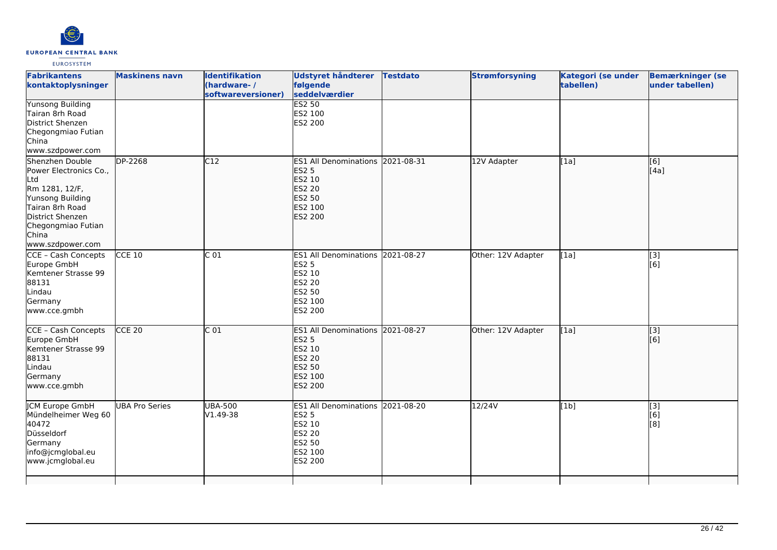

|                       | (hardware-/<br>softwareversioner)                        | <b>Udstyret håndterer</b><br>følgende                                                                          |                                |                                                                                                                     | tabellen)                                                                        | <b>Bemærkninger (se</b><br>under tabellen) |
|-----------------------|----------------------------------------------------------|----------------------------------------------------------------------------------------------------------------|--------------------------------|---------------------------------------------------------------------------------------------------------------------|----------------------------------------------------------------------------------|--------------------------------------------|
|                       |                                                          | ES2 100<br>ES2 200                                                                                             |                                |                                                                                                                     |                                                                                  |                                            |
|                       |                                                          | <b>ES1 All Denominations</b><br><b>ES2 5</b><br>ES2 10<br><b>ES2 20</b><br>ES2 50<br>ES2 100<br><b>ES2 200</b> |                                |                                                                                                                     | [[1a]                                                                            | [[6]<br>[[4a]                              |
|                       |                                                          | <b>ES2 5</b><br>ES2 10<br>ES2 20<br>ES2 50<br>ES2 100<br>ES2 200                                               |                                |                                                                                                                     |                                                                                  | [3]<br>[6]                                 |
|                       | C <sub>01</sub>                                          | <b>ES2 5</b><br><b>ES2 10</b><br>ES2 20<br><b>ES2 50</b><br>ES2 100<br><b>ES2 200</b>                          |                                |                                                                                                                     | [1a]                                                                             | $\overline{[3]}$<br>[[6]                   |
| <b>UBA Pro Series</b> |                                                          | <b>ES1 All Denominations</b><br><b>ES2 5</b><br>ES2 10<br>ES2 20<br>ES2 50<br>ES2 100<br>ES2 200               |                                | 12/24V                                                                                                              |                                                                                  | $\overline{[}3]$<br>[6]<br>[8]             |
|                       | <b>Maskinens navn</b><br>DP-2268<br>$CCE$ 10<br>$CCE$ 20 | <b>Identifikation</b><br>C12<br>C <sub>01</sub><br><b>UBA-500</b><br>V1.49-38                                  | seddelværdier<br><b>ES2 50</b> | <b>Testdato</b><br>2021-08-31<br>ES1 All Denominations 2021-08-27<br>ES1 All Denominations 2021-08-27<br>2021-08-20 | <b>Strømforsyning</b><br>12V Adapter<br>Other: 12V Adapter<br>Other: 12V Adapter | <b>Kategori (se under</b><br>[1a]<br>[1b]  |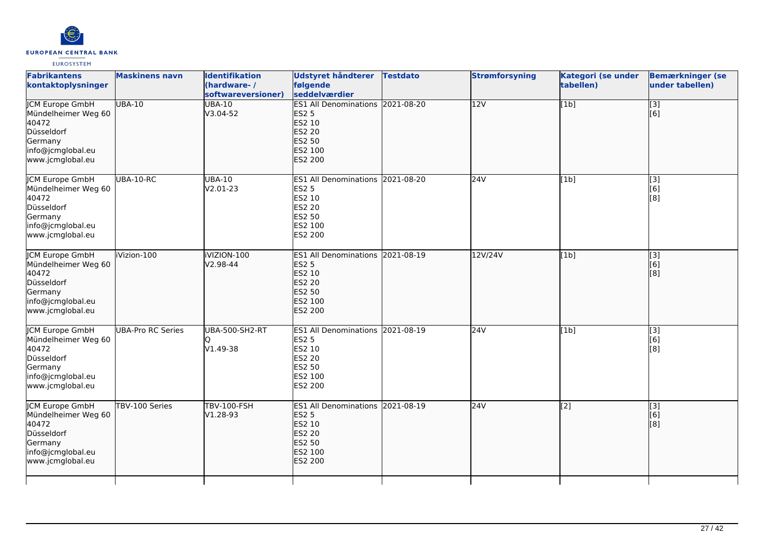

| <b>Fabrikantens</b><br>kontaktoplysninger                                                                                | <b>Maskinens navn</b>    | <b>Identifikation</b><br>(hardware-/<br>softwareversioner) | Udstyret håndterer<br>følgende<br>seddelværdier                                                                    | <b>Testdato</b> | <b>Strømforsyning</b> | Kategori (se under<br>tabellen) | <b>Bemærkninger (se</b><br>under tabellen)                       |
|--------------------------------------------------------------------------------------------------------------------------|--------------------------|------------------------------------------------------------|--------------------------------------------------------------------------------------------------------------------|-----------------|-----------------------|---------------------------------|------------------------------------------------------------------|
| <b>ICM Europe GmbH</b><br>Mündelheimer Weg 60<br>40472<br>Düsseldorf<br>Germany<br>info@jcmglobal.eu<br>www.jcmglobal.eu | <b>UBA-10</b>            | <b>UBA-10</b><br>V3.04-52                                  | ES1 All Denominations 2021-08-20<br><b>ES2 5</b><br>ES2 10<br><b>ES2 20</b><br><b>ES2 50</b><br>ES2 100<br>ES2 200 |                 | $\overline{12V}$      | [1b]                            | $\overline{[}3]$<br>[6]                                          |
| JCM Europe GmbH<br>Mündelheimer Weg 60<br>40472<br>Düsseldorf<br>Germany<br>info@jcmglobal.eu<br>www.jcmglobal.eu        | UBA-10-RC                | <b>UBA-10</b><br>V2.01-23                                  | ES1 All Denominations 2021-08-20<br><b>ES2 5</b><br>ES2 10<br>ES2 20<br><b>ES2 50</b><br>ES2 100<br>ES2 200        |                 | 24V                   | [1b]                            | $\overline{[}3]$<br>[6]<br>$\overline{[}8\overline{]}$           |
| <b>JCM Europe GmbH</b><br>Mündelheimer Weg 60<br>40472<br>Düsseldorf<br>Germany<br>info@jcmglobal.eu<br>www.jcmglobal.eu | iVizion-100              | iVIZION-100<br>V2.98-44                                    | ES1 All Denominations 2021-08-19<br><b>ES2 5</b><br>ES2 10<br><b>ES2 20</b><br><b>ES2 50</b><br>ES2 100<br>ES2 200 |                 | 12V/24V               | [1b]                            | $\left[ \begin{matrix} 1 & 3 \end{matrix} \right]$<br>[6]<br>[8] |
| <b>JCM Europe GmbH</b><br>Mündelheimer Weg 60<br>40472<br>Düsseldorf<br>Germany<br>info@jcmglobal.eu<br>www.jcmglobal.eu | <b>UBA-Pro RC Series</b> | <b>UBA-500-SH2-RT</b><br>V1.49-38                          | ES1 All Denominations 2021-08-19<br>ES2 5<br>ES2 10<br>ES2 20<br>ES2 50<br>ES2 100<br>ES2 200                      |                 | 24V                   | [1b]                            | [3]<br>[6]<br>[8]                                                |
| JCM Europe GmbH<br>Mündelheimer Weg 60<br>40472<br>Düsseldorf<br>Germany<br>info@jcmglobal.eu<br>www.jcmglobal.eu        | TBV-100 Series           | <b>TBV-100-FSH</b><br>V1.28-93                             | ES1 All Denominations 2021-08-19<br><b>ES2 5</b><br>ES2 10<br><b>ES2 20</b><br><b>ES2 50</b><br>ES2 100<br>ES2 200 |                 | 24V                   | $\overline{[2]}$                | [3]<br>[6]<br>[8]                                                |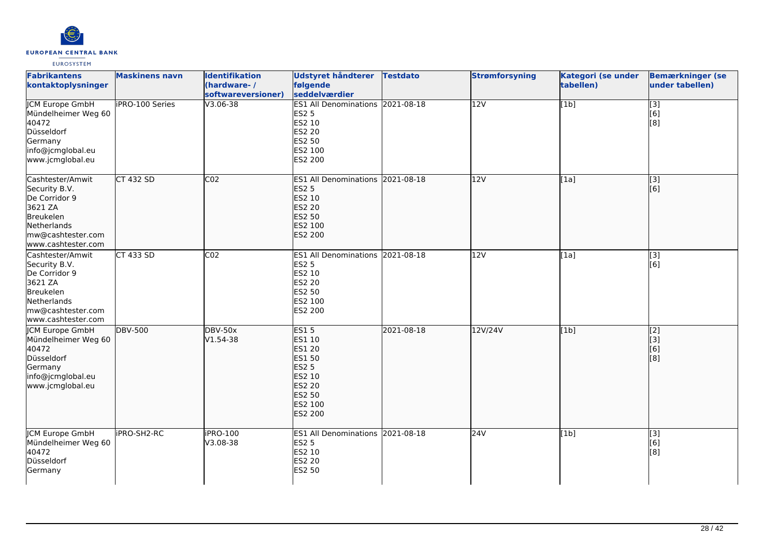

| <b>Fabrikantens</b><br>kontaktoplysninger                                                                                            | <b>Maskinens navn</b>  | <b>Identifikation</b><br>(hardware-/<br>softwareversioner) | <b>Udstyret håndterer</b><br>følgende<br>seddelværdier                                                 | <b>Testdato</b> | <b>Strømforsyning</b> | Kategori (se under<br>tabellen) | <b>Bemærkninger (se</b><br>under tabellen) |
|--------------------------------------------------------------------------------------------------------------------------------------|------------------------|------------------------------------------------------------|--------------------------------------------------------------------------------------------------------|-----------------|-----------------------|---------------------------------|--------------------------------------------|
| <b>JCM Europe GmbH</b><br>Mündelheimer Weg 60<br>40472<br>Düsseldorf<br>Germany<br>info@jcmglobal.eu<br>www.jcmglobal.eu             | <b>iPRO-100 Series</b> | $V3.06 - 38$                                               | ES1 All Denominations 2021-08-18<br>ES2 5<br>ES2 10<br>ES2 20<br>ES2 50<br>ES2 100<br>ES2 200          |                 | $\overline{12V}$      | [1b]                            | $\overline{[}3]$<br>[6]<br>[8]             |
| Cashtester/Amwit<br>Security B.V.<br>De Corridor 9<br>3621 ZA<br>Breukelen<br>Netherlands<br>mw@cashtester.com<br>www.cashtester.com | CT 432 SD              | CO <sub>2</sub>                                            | ES1 All Denominations 2021-08-18<br>ES2 5<br>ES2 10<br>ES2 20<br><b>ES2 50</b><br>ES2 100<br>ES2 200   |                 | 12V                   | [1a]                            | [3]<br>[6]                                 |
| Cashtester/Amwit<br>Security B.V.<br>De Corridor 9<br>3621 ZA<br>Breukelen<br>Netherlands<br>mw@cashtester.com<br>www.cashtester.com | CT 433 SD              | CO <sub>2</sub>                                            | ES1 All Denominations 2021-08-18<br>ES2 5<br>ES2 10<br>ES2 20<br>ES2 50<br>ES2 100<br>ES2 200          |                 | 12V                   | [1a]                            | [3]<br>[6]                                 |
| <b>ICM Europe GmbH</b><br>Mündelheimer Weg 60<br>40472<br>Düsseldorf<br>Germany<br>info@jcmglobal.eu<br>www.jcmglobal.eu             | <b>DBV-500</b>         | <b>DBV-50x</b><br>V1.54-38                                 | ES15<br>ES1 10<br>ES1 20<br>ES1 50<br>ES2 5<br>ES2 10<br>ES2 20<br><b>ES2 50</b><br>ES2 100<br>ES2 200 | 2021-08-18      | 12V/24V               | [1b]                            | $\overline{[2]}$<br>[[3]<br>[6]<br>[[8]    |
| <b>CM Europe GmbH</b><br>Mündelheimer Weg 60<br>40472<br>Düsseldorf<br>Germany                                                       | <b>IPRO-SH2-RC</b>     | <b>iPRO-100</b><br>V3.08-38                                | ES1 All Denominations 2021-08-18<br>ES2 5<br>ES2 10<br><b>ES2 20</b><br>ES2 50                         |                 | 24V                   | [1b]                            | [3]<br>[6]<br>[8]                          |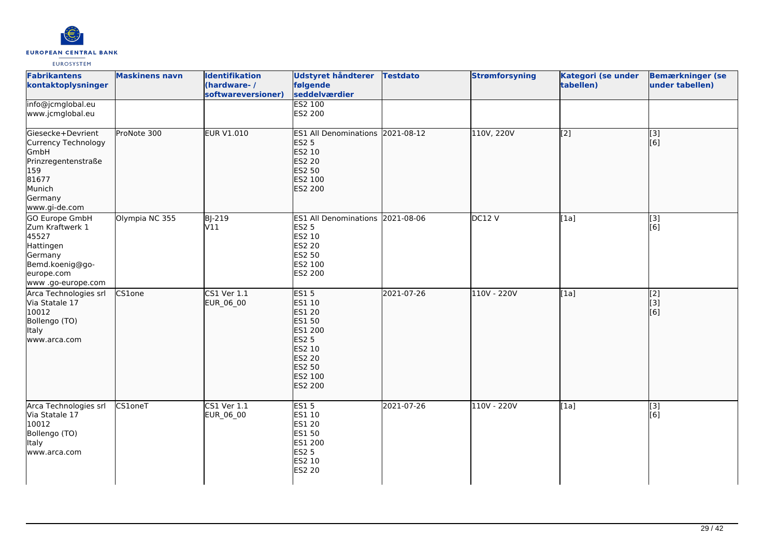

| <b>Fabrikantens</b><br>kontaktoplysninger                                                                                       | <b>Maskinens navn</b> | <b>Identifikation</b><br>(hardware-/<br>softwareversioner) | <b>Udstyret håndterer</b><br>følgende<br>seddelværdier                                                                                               | <b>Testdato</b> | <b>Strømforsyning</b> | Kategori (se under<br>tabellen) | <b>Bemærkninger (se</b><br>under tabellen)    |
|---------------------------------------------------------------------------------------------------------------------------------|-----------------------|------------------------------------------------------------|------------------------------------------------------------------------------------------------------------------------------------------------------|-----------------|-----------------------|---------------------------------|-----------------------------------------------|
| info@jcmglobal.eu<br>www.jcmglobal.eu                                                                                           |                       |                                                            | <b>ES2 100</b><br>ES2 200                                                                                                                            |                 |                       |                                 |                                               |
| Giesecke+Devrient<br>Currency Technology<br>GmbH<br>Prinzregentenstraße<br>159<br>81677<br>Munich<br>Germany<br>www.gi-de.com   | ProNote 300           | <b>EUR V1.010</b>                                          | ES1 All Denominations 2021-08-12<br><b>ES2 5</b><br>ES2 10<br><b>ES2 20</b><br>ES2 50<br>ES2 100<br><b>ES2 200</b>                                   |                 | 110V, 220V            | $\overline{[2]}$                | $\begin{bmatrix} 3 \\ 6 \end{bmatrix}$        |
| <b>GO Europe GmbH</b><br>Zum Kraftwerk 1<br>45527<br>Hattingen<br>Germany<br>Bemd.koenig@go-<br>europe.com<br>www.go-europe.com | Olympia NC 355        | <b>BJ-219</b><br>V11                                       | ES1 All Denominations 2021-08-06<br><b>ES2 5</b><br>ES2 10<br>ES2 20<br>ES2 50<br>ES2 100<br>ES2 200                                                 |                 | DC12 V                | [1a]                            | $[3]$<br>[6]                                  |
| Arca Technologies srl<br>Via Statale 17<br>10012<br>Bollengo (TO)<br>Italy<br>www.arca.com                                      | CS1one                | CS1 Ver 1.1<br>EUR_06_00                                   | <b>ES15</b><br>ES1 10<br><b>ES1 20</b><br>ES1 50<br>ES1 200<br><b>ES2 5</b><br><b>ES2 10</b><br><b>ES2 20</b><br>ES2 50<br>ES2 100<br><b>ES2 200</b> | 2021-07-26      | 110V - 220V           | [1a]                            | $\begin{bmatrix} 2 \\ 3 \end{bmatrix}$<br>[6] |
| Arca Technologies srl<br>Via Statale 17<br>10012<br>Bollengo (TO)<br>Italy<br>www.arca.com                                      | <b>CS1oneT</b>        | $CS1$ Ver $1.1$<br>EUR_06_00                               | <b>ES15</b><br>ES1 10<br>ES1 20<br>ES1 50<br>ES1 200<br><b>ES2 5</b><br>ES2 10<br><b>ES2 20</b>                                                      | 2021-07-26      | 110V - 220V           | [1a]                            | $\overline{[3]}$<br>[6]                       |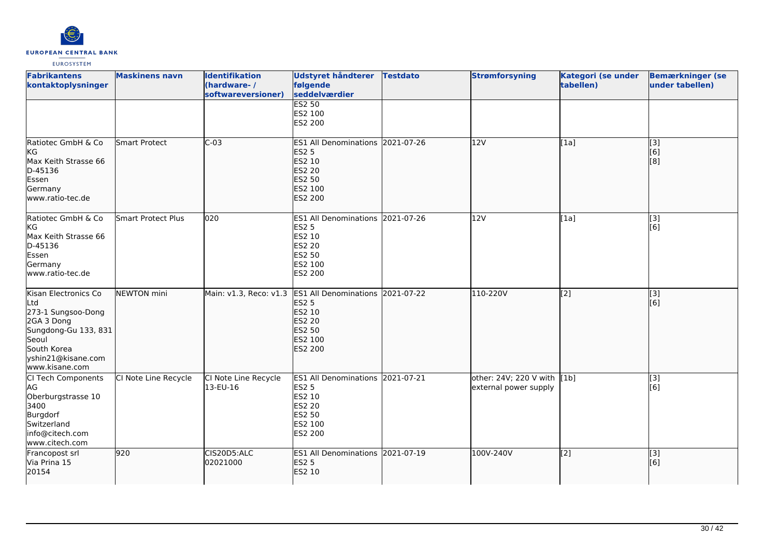

| <b>Fabrikantens</b><br>kontaktoplysninger                                                                                                               | <b>Maskinens navn</b>     | <b>Identifikation</b><br>(hardware-/<br>softwareversioner) | <b>Udstyret håndterer</b><br>følgende<br>seddelværdier                                                                       | <b>Testdato</b> | <b>Strømforsyning</b>                                | Kategori (se under<br>tabellen) | <b>Bemærkninger (se</b><br>under tabellen) |
|---------------------------------------------------------------------------------------------------------------------------------------------------------|---------------------------|------------------------------------------------------------|------------------------------------------------------------------------------------------------------------------------------|-----------------|------------------------------------------------------|---------------------------------|--------------------------------------------|
|                                                                                                                                                         |                           |                                                            | <b>ES2 50</b><br>ES2 100<br>ES2 200                                                                                          |                 |                                                      |                                 |                                            |
| Ratiotec GmbH & Co<br> KG<br>Max Keith Strasse 66<br>D-45136<br>Essen<br>Germany<br>www.ratio-tec.de                                                    | <b>Smart Protect</b>      | $C-03$                                                     | <b>ES1 All Denominations</b><br><b>ES2 5</b><br>ES2 10<br><b>ES2 20</b><br>ES2 50<br>ES2 100<br>ES2 200                      | 2021-07-26      | 12V                                                  | [1a]                            | $\overline{[}3]$<br>[6]<br>[8]             |
| Ratiotec GmbH & Co<br>kG<br>Max Keith Strasse 66<br>D-45136<br>Essen<br>Germany<br>www.ratio-tec.de                                                     | <b>Smart Protect Plus</b> | 020                                                        | ES1 All Denominations 2021-07-26<br><b>ES2 5</b><br>ES2 10<br>ES2 20<br>ES2 50<br>ES2 100<br>ES2 200                         |                 | 12V                                                  | [1a]                            | [3]<br>[6]                                 |
| Kisan Electronics Co<br>Ltd<br>273-1 Sungsoo-Dong<br>2GA 3 Dong<br>Sungdong-Gu 133, 831<br>Seoul<br>South Korea<br>yshin21@kisane.com<br>www.kisane.com | <b>NEWTON</b> mini        | Main: v1.3, Reco: v1.3                                     | <b>ES1 All Denominations</b><br><b>ES2 5</b><br><b>ES2 10</b><br><b>ES2 20</b><br><b>ES2 50</b><br>ES2 100<br><b>ES2 200</b> | 2021-07-22      | 110-220V                                             | $\overline{[2]}$                | [3]<br>[6]                                 |
| CI Tech Components<br>AG<br>Oberburgstrasse 10<br>3400<br>Burgdorf<br>Switzerland<br>info@citech.com<br>www.citech.com                                  | CI Note Line Recycle      | CI Note Line Recycle<br>13-EU-16                           | ES1 All Denominations 2021-07-21<br><b>ES2 5</b><br>ES2 10<br>ES2 20<br>ES2 50<br>ES2 100<br>ES2 200                         |                 | other: 24V; 220 V with [1b]<br>external power supply |                                 | [3]<br>[6]                                 |
| Francopost srl<br>Via Prina 15<br>20154                                                                                                                 | 920                       | CIS20D5:ALC<br>02021000                                    | ES1 All Denominations 2021-07-19<br><b>ES2 5</b><br>ES2 10                                                                   |                 | 100V-240V                                            | [2]                             | [3]<br>[6]                                 |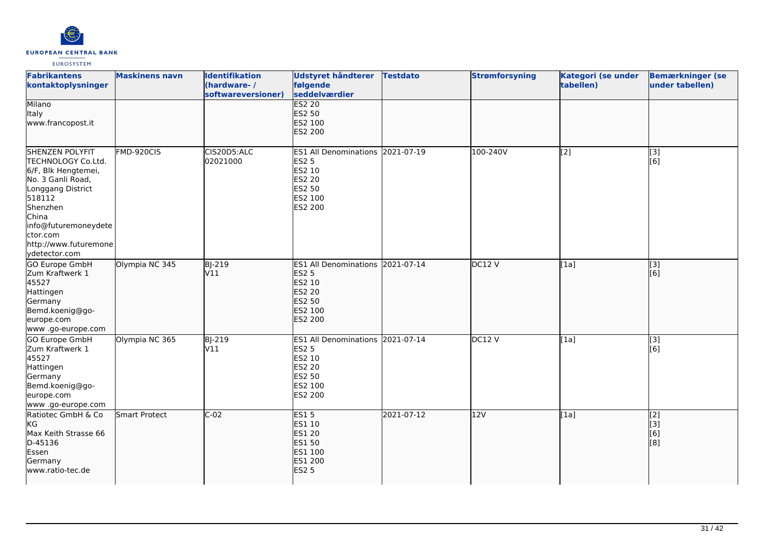

| <b>Fabrikantens</b><br>kontaktoplysninger                                                                                                                                                                           | <b>Maskinens navn</b> | <b>Identifikation</b><br>(hardware-/<br>softwareversioner) | <b>Udstyret håndterer</b><br>følgende<br>seddelværdier                                                                    | <b>Testdato</b> | <b>Strømforsyning</b> | Kategori (se under<br>tabellen) | <b>Bemærkninger (se</b><br>under tabellen) |
|---------------------------------------------------------------------------------------------------------------------------------------------------------------------------------------------------------------------|-----------------------|------------------------------------------------------------|---------------------------------------------------------------------------------------------------------------------------|-----------------|-----------------------|---------------------------------|--------------------------------------------|
| Milano<br>Italy<br>www.francopost.it                                                                                                                                                                                |                       |                                                            | <b>ES2 20</b><br><b>ES2 50</b><br>ES2 100<br><b>ES2 200</b>                                                               |                 |                       |                                 |                                            |
| SHENZEN POLYFIT<br>TECHNOLOGY Co.Ltd.<br>6/F, Blk Hengtemei,<br>No. 3 Ganli Road,<br>Longgang District<br>518112<br>Shenzhen<br>China<br>info@futuremoneydete<br>ctor.com<br>http://www.futuremone<br>ydetector.com | FMD-920CIS            | CIS20D5:ALC<br>02021000                                    | ES1 All Denominations 2021-07-19<br><b>ES2 5</b><br>ES2 10<br><b>ES2 20</b><br>ES2 50<br>ES2 100<br>ES2 200               |                 | 100-240V              | $\overline{[2]}$                | [3]<br>[6]                                 |
| GO Europe GmbH<br>Zum Kraftwerk 1<br>45527<br>Hattingen<br>Germany<br>Bemd.koenig@go-<br>europe.com<br>www .go-europe.com                                                                                           | Olympia NC 345        | <b>BJ-219</b><br>V11                                       | ES1 All Denominations 2021-07-14<br><b>ES2 5</b><br>ES2 10<br><b>ES2 20</b><br><b>ES2 50</b><br>ES2 100<br><b>ES2 200</b> |                 | DC12V                 | [1a]                            | $\overline{[}3]$<br>[[6]                   |
| GO Europe GmbH<br>Zum Kraftwerk 1<br>45527<br>Hattingen<br>Germany<br>Bemd.koenig@go-<br>europe.com<br>www.go-europe.com                                                                                            | Olympia NC 365        | <b>BJ-219</b><br>V11                                       | ES1 All Denominations 2021-07-14<br><b>ES2 5</b><br>ES2 10<br><b>ES2 20</b><br><b>ES2 50</b><br>ES2 100<br>ES2 200        |                 | DC12V                 | [1a]                            | [3]<br>[6]                                 |
| Ratiotec GmbH & Co<br>KG<br>Max Keith Strasse 66<br>D-45136<br>Essen<br>Germany<br>www.ratio-tec.de                                                                                                                 | Smart Protect         | $C-02$                                                     | <b>ES15</b><br>ES1 10<br><b>ES1 20</b><br><b>ES1 50</b><br>ES1 100<br>ES1 200<br><b>ES2 5</b>                             | 2021-07-12      | 12V                   | [1a]                            | [[2]<br>[[3]<br>[6]<br>[8]                 |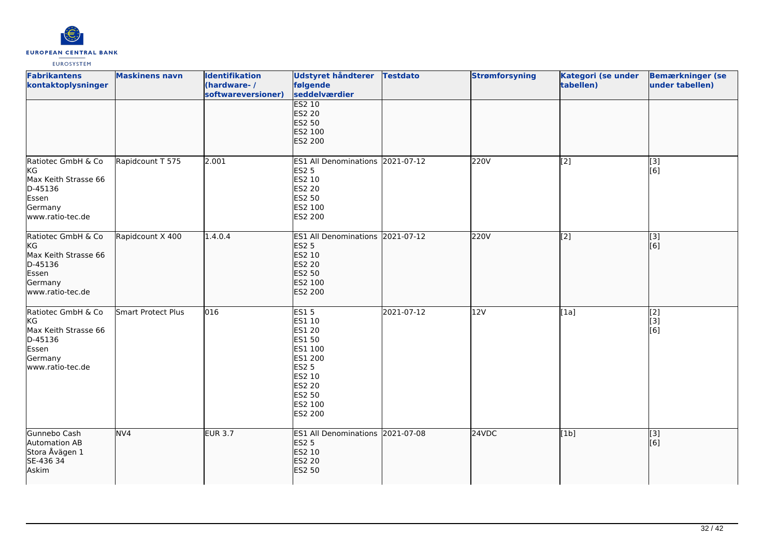

| <b>Fabrikantens</b><br>kontaktoplysninger                                                           | <b>Maskinens navn</b> | <b>Identifikation</b><br>(hardware-/<br>softwareversioner) | Udstyret håndterer<br>følgende<br>seddelværdier                                                                              | <b>Testdato</b> | <b>Strømforsyning</b> | Kategori (se under<br>tabellen) | <b>Bemærkninger (se</b><br>under tabellen) |
|-----------------------------------------------------------------------------------------------------|-----------------------|------------------------------------------------------------|------------------------------------------------------------------------------------------------------------------------------|-----------------|-----------------------|---------------------------------|--------------------------------------------|
|                                                                                                     |                       |                                                            | <b>ES2 10</b><br><b>ES2 20</b><br><b>ES2 50</b><br>ES2 100<br>ES2 200                                                        |                 |                       |                                 |                                            |
| Ratiotec GmbH & Co<br>KG<br>Max Keith Strasse 66<br>D-45136<br>Essen<br>Germany<br>www.ratio-tec.de | Rapidcount T 575      | 2.001                                                      | ES1 All Denominations 2021-07-12<br><b>ES2 5</b><br>ES2 10<br>ES2 20<br>ES2 50<br>ES2 100<br>ES2 200                         |                 | 220V                  | [2]                             | [3]<br>[6]                                 |
| Ratiotec GmbH & Co<br>kg<br>Max Keith Strasse 66<br>D-45136<br>Essen<br>Germany<br>www.ratio-tec.de | Rapidcount X 400      | 1.4.0.4                                                    | ES1 All Denominations 2021-07-12<br><b>ES2 5</b><br>ES2 10<br><b>ES2 20</b><br>ES2 50<br>ES2 100<br>ES2 200                  |                 | 220V                  | $\overline{[2]}$                | $\overline{[}3]$<br>[6]                    |
| Ratiotec GmbH & Co<br>KG<br>Max Keith Strasse 66<br>D-45136<br>Essen<br>Germany<br>www.ratio-tec.de | Smart Protect Plus    | 016                                                        | <b>ES15</b><br>ES1 10<br>ES1 20<br>ES1 50<br>ES1 100<br>ES1 200<br>ES2 5<br>ES2 10<br>ES2 20<br>ES2 50<br>ES2 100<br>ES2 200 | 2021-07-12      | 12V                   | [1a]                            | $\overline{[2]}$<br>[3]<br>[6]             |
| Gunnebo Cash<br>Automation AB<br>Stora Åvägen 1<br>SE-436 34<br>Askim                               | NV4                   | <b>EUR 3.7</b>                                             | ES1 All Denominations 2021-07-08<br><b>ES2 5</b><br>ES2 10<br>ES2 20<br>ES2 50                                               |                 | 24VDC                 | [1b]                            | $\overline{[}$ [3]<br>[6]                  |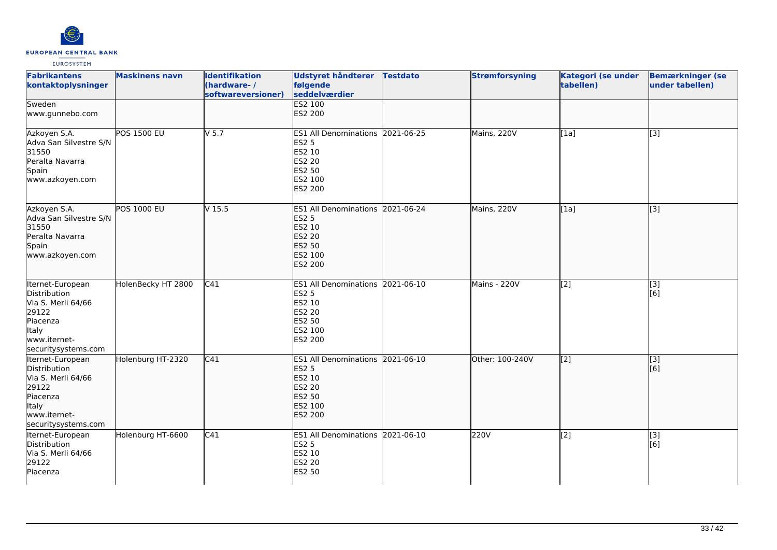

| <b>Fabrikantens</b><br>kontaktoplysninger                                                                                          | <b>Maskinens navn</b> | <b>Identifikation</b><br>(hardware-/<br>softwareversioner) | <b>Udstyret håndterer</b><br>følgende<br>seddelværdier                                                                    | <b>Testdato</b> | <b>Strømforsyning</b> | Kategori (se under<br>tabellen) | <b>Bemærkninger (se</b><br>under tabellen) |
|------------------------------------------------------------------------------------------------------------------------------------|-----------------------|------------------------------------------------------------|---------------------------------------------------------------------------------------------------------------------------|-----------------|-----------------------|---------------------------------|--------------------------------------------|
| Sweden<br>www.gunnebo.com                                                                                                          |                       |                                                            | <b>ES2 100</b><br>ES2 200                                                                                                 |                 |                       |                                 |                                            |
| Azkoyen S.A.<br>Adva San Silvestre S/N<br>31550<br>Peralta Navarra<br>Spain<br>www.azkoyen.com                                     | <b>POS 1500 EU</b>    | $V$ 5.7                                                    | ES1 All Denominations 2021-06-25<br><b>ES2 5</b><br>ES2 10<br><b>ES2 20</b><br><b>ES2 50</b><br>ES2 100<br>ES2 200        |                 | Mains, 220V           | $\overline{[1a]}$               | [3]                                        |
| Azkoyen S.A.<br>Adva San Silvestre S/N<br>31550<br>Peralta Navarra<br>Spain<br>www.azkoyen.com                                     | <b>POS 1000 EU</b>    | V <sub>15.5</sub>                                          | ES1 All Denominations 2021-06-24<br><b>ES2 5</b><br>ES2 10<br><b>ES2 20</b><br><b>ES2 50</b><br>ES2 100<br><b>ES2 200</b> |                 | Mains, 220V           | [1a]                            | $\overline{[}3]$                           |
| Iternet-European<br>Distribution<br>Via S. Merli 64/66<br>29122<br>Piacenza<br><b>Italy</b><br>www.iternet-<br>securitysystems.com | HolenBecky HT 2800    | C <sub>41</sub>                                            | ES1 All Denominations 2021-06-10<br><b>ES2 5</b><br>ES2 10<br><b>ES2 20</b><br>ES2 50<br>ES2 100<br>ES2 200               |                 | Mains - 220V          | $\overline{[2]}$                | $\overline{[3]}$<br>[6]                    |
| Iternet-European<br>Distribution<br>Via S. Merli 64/66<br>29122<br>Piacenza<br><b>Italy</b><br>www.iternet-<br>securitysystems.com | Holenburg HT-2320     | C41                                                        | ES1 All Denominations 2021-06-10<br><b>ES2 5</b><br>ES2 10<br><b>ES2 20</b><br><b>ES2 50</b><br>ES2 100<br>ES2 200        |                 | Other: 100-240V       | $\overline{[2]}$                | $\vert$ [3]<br>[6]                         |
| Iternet-European<br>Distribution<br>Via S. Merli 64/66<br>29122<br>Piacenza                                                        | Holenburg HT-6600     | $\overline{C41}$                                           | ES1 All Denominations 2021-06-10<br><b>ES2 5</b><br>ES2 10<br><b>ES2 20</b><br>ES2 50                                     |                 | 220V                  | $\overline{[2]}$                | $\overline{[3]}$<br>[6]                    |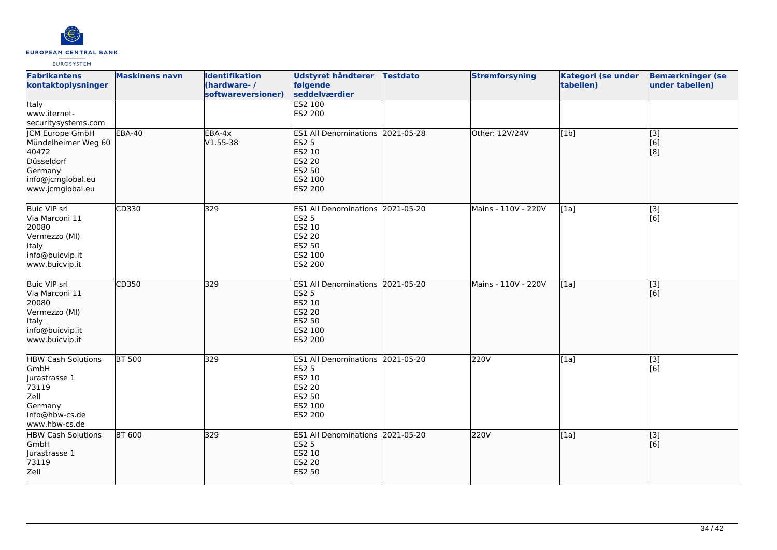

| <b>Fabrikantens</b><br>kontaktoplysninger                                                                                | <b>Maskinens navn</b> | <b>Identifikation</b><br>(hardware-/<br>softwareversioner) | Udstyret håndterer<br>følgende<br>seddelværdier                                                                           | <b>Testdato</b> | <b>Strømforsyning</b> | <b>Kategori (se under</b><br>tabellen) | <b>Bemærkninger (se</b><br>under tabellen)            |
|--------------------------------------------------------------------------------------------------------------------------|-----------------------|------------------------------------------------------------|---------------------------------------------------------------------------------------------------------------------------|-----------------|-----------------------|----------------------------------------|-------------------------------------------------------|
| <b>Italy</b><br>www.iternet-<br>securitysystems.com                                                                      |                       |                                                            | <b>ES2 100</b><br>ES2 200                                                                                                 |                 |                       |                                        |                                                       |
| <b>JCM Europe GmbH</b><br>Mündelheimer Weg 60<br>40472<br>Düsseldorf<br>Germany<br>info@jcmglobal.eu<br>www.jcmglobal.eu | <b>EBA-40</b>         | $EBA-4x$<br>$V1.55 - 38$                                   | ES1 All Denominations 2021-05-28<br><b>ES2 5</b><br>ES2 10<br><b>ES2 20</b><br><b>ES2 50</b><br>ES2 100<br><b>ES2 200</b> |                 | Other: 12V/24V        | [1b]                                   | $\overline{[}3]$<br>[6]<br>[8]                        |
| <b>Buic VIP srl</b><br>Via Marconi 11<br>20080<br>Vermezzo (MI)<br>Italy<br>info@buicvip.it<br>www.buicvip.it            | CD330                 | 329                                                        | ES1 All Denominations 2021-05-20<br>ES2 5<br>ES2 10<br>ES2 20<br><b>ES2 50</b><br>ES2 100<br>ES2 200                      |                 | Mains - 110V - 220V   | [1a]                                   | $\left[ \begin{matrix} 3 \end{matrix} \right]$<br>[6] |
| <b>Buic VIP srl</b><br>Via Marconi 11<br>20080<br>Vermezzo (MI)<br>Italy<br>info@buicvip.it<br>www.buicvip.it            | CD350                 | 329                                                        | ES1 All Denominations 2021-05-20<br><b>ES2 5</b><br>ES2 10<br><b>ES2 20</b><br><b>ES2 50</b><br>ES2 100<br>ES2 200        |                 | Mains - 110V - 220V   | [1a]                                   | $\overline{[3]}$<br>[6]                               |
| <b>HBW Cash Solutions</b><br>GmbH<br>Jurastrasse 1<br>73119<br>Zell<br>Germany<br>Info@hbw-cs.de<br>www.hbw-cs.de        | <b>BT 500</b>         | 329                                                        | ES1 All Denominations 2021-05-20<br>ES2 5<br>ES2 10<br><b>ES2 20</b><br><b>ES2 50</b><br>ES2 100<br>ES2 200               |                 | 220V                  | [1a]                                   | $\left[ \begin{matrix} 3 \end{matrix} \right]$<br>[6] |
| <b>HBW Cash Solutions</b><br>GmbH<br>Jurastrasse 1<br>73119<br>Zell                                                      | <b>BT 600</b>         | 329                                                        | ES1 All Denominations 2021-05-20<br><b>ES2 5</b><br>ES2 10<br><b>ES2 20</b><br><b>ES2 50</b>                              |                 | 220V                  | [1a]                                   | [3]<br>[6]                                            |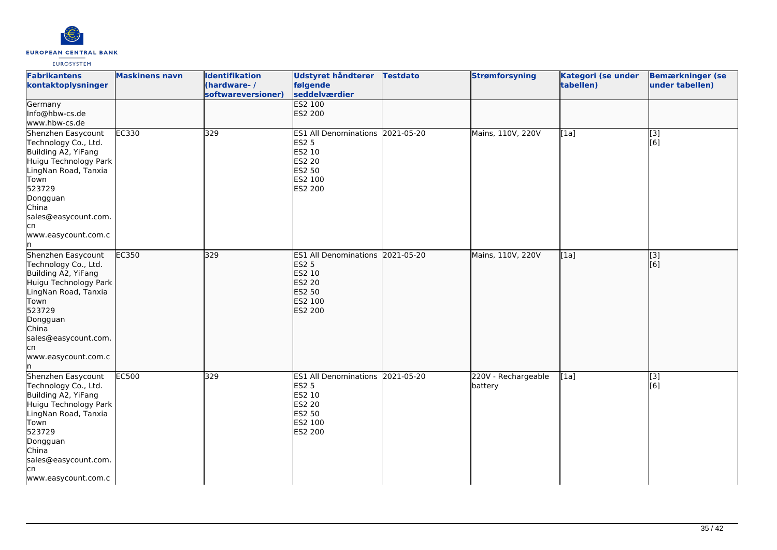

| <b>Fabrikantens</b><br>kontaktoplysninger                                                                                                                                                                              | <b>Maskinens navn</b> | <b>Identifikation</b><br>(hardware-/<br>softwareversioner) | <b>Udstyret håndterer</b><br>følgende<br>seddelværdier                                                      | <b>Testdato</b> | <b>Strømforsyning</b>          | <b>Kategori (se under</b><br>tabellen) | <b>Bemærkninger (se</b><br>under tabellen) |
|------------------------------------------------------------------------------------------------------------------------------------------------------------------------------------------------------------------------|-----------------------|------------------------------------------------------------|-------------------------------------------------------------------------------------------------------------|-----------------|--------------------------------|----------------------------------------|--------------------------------------------|
| Germany<br>Info@hbw-cs.de<br>www.hbw-cs.de                                                                                                                                                                             |                       |                                                            | <b>ES2 100</b><br>ES2 200                                                                                   |                 |                                |                                        |                                            |
| Shenzhen Easycount<br>Technology Co., Ltd.<br>Building A2, YiFang<br>Huigu Technology Park<br>LingNan Road, Tanxia<br>Town<br>523729<br>Dongguan<br>China<br>sales@easycount.com.<br>lcn<br>www.easycount.com.c<br>In. | EC330                 | 329                                                        | ES1 All Denominations 2021-05-20<br><b>ES2 5</b><br>ES2 10<br><b>ES2 20</b><br>ES2 50<br>ES2 100<br>ES2 200 |                 | Mains, 110V, 220V              | [1a]                                   | $\overline{[3]}$<br>[6]                    |
| Shenzhen Easycount<br>Technology Co., Ltd.<br>Building A2, YiFang<br>Huigu Technology Park<br>LingNan Road, Tanxia<br>Town<br>523729<br>Dongguan<br>China<br>sales@easycount.com.<br>lcn<br>www.easycount.com.c<br>In. | EC350                 | 329                                                        | ES1 All Denominations 2021-05-20<br><b>ES2 5</b><br>ES2 10<br>ES2 20<br>ES2 50<br>ES2 100<br><b>ES2 200</b> |                 | Mains, 110V, 220V              | [[1a]                                  | $\overline{[3]}$<br>[6]                    |
| Shenzhen Easycount<br>Technology Co., Ltd.<br>Building A2, YiFang<br>Huigu Technology Park<br>LingNan Road, Tanxia<br>Town<br>523729<br>Dongguan<br>China<br>sales@easycount.com.<br>lcn<br>www.easycount.com.c        | EC500                 | 329                                                        | ES1 All Denominations 2021-05-20<br><b>ES2 5</b><br>ES2 10<br>ES2 20<br>ES2 50<br>ES2 100<br>ES2 200        |                 | 220V - Rechargeable<br>battery | [1a]                                   | [3]<br>[6]                                 |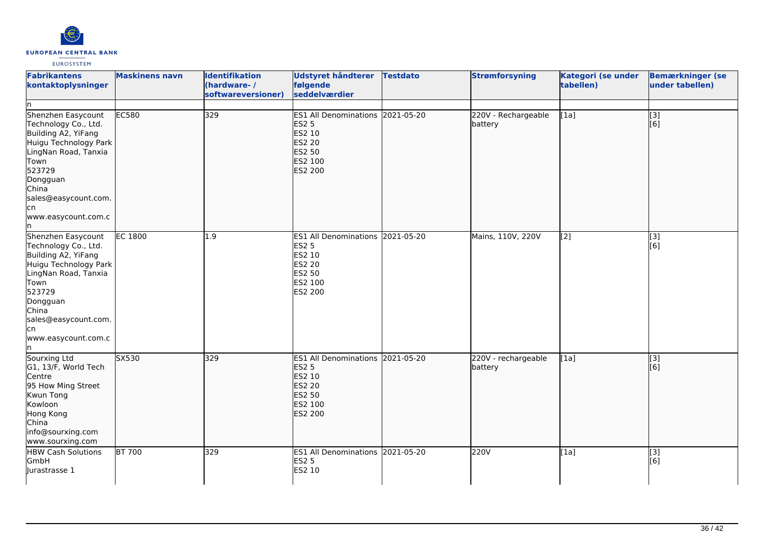

| <b>Fabrikantens</b><br>kontaktoplysninger                                                                                                                                                                             | <b>Maskinens navn</b> | <b>Identifikation</b><br>(hardware-/<br>softwareversioner) | Udstyret håndterer<br>følgende<br>seddelværdier                                                             | <b>Testdato</b> | <b>Strømforsyning</b>          | Kategori (se under<br>tabellen) | <b>Bemærkninger (se</b><br>under tabellen)            |
|-----------------------------------------------------------------------------------------------------------------------------------------------------------------------------------------------------------------------|-----------------------|------------------------------------------------------------|-------------------------------------------------------------------------------------------------------------|-----------------|--------------------------------|---------------------------------|-------------------------------------------------------|
| Shenzhen Easycount<br>Technology Co., Ltd.<br>Building A2, YiFang<br>Huigu Technology Park<br>LingNan Road, Tanxia<br>Town<br>523729<br>Dongguan<br>China<br>sales@easycount.com.<br>cn,<br>www.easycount.com.c<br>In | <b>EC580</b>          | 329                                                        | ES1 All Denominations 2021-05-20<br><b>ES2 5</b><br>ES2 10<br><b>ES2 20</b><br>ES2 50<br>ES2 100<br>ES2 200 |                 | 220V - Rechargeable<br>battery | [1a]                            | $\left[ \begin{matrix} 3 \end{matrix} \right]$<br>[6] |
| Shenzhen Easycount<br>Technology Co., Ltd.<br>Building A2, YiFang<br>Huigu Technology Park<br>LingNan Road, Tanxia<br>Town<br>523729<br>Dongguan<br>China<br>sales@easycount.com.<br>lcn<br>www.easycount.com.c<br>In | <b>EC 1800</b>        | 1.9                                                        | ES1 All Denominations 2021-05-20<br><b>ES2 5</b><br>ES2 10<br>ES2 20<br>ES2 50<br>ES2 100<br>ES2 200        |                 | Mains, 110V, 220V              | [2]                             | [3]<br>[6]                                            |
| Sourxing Ltd<br>G1, 13/F, World Tech<br>Centre<br>95 How Ming Street<br>Kwun Tong<br>Kowloon<br>Hong Kong<br>China<br>info@sourxing.com<br>www.sourxing.com                                                           | SX530                 | 329                                                        | ES1 All Denominations 2021-05-20<br><b>ES2 5</b><br>ES2 10<br><b>ES2 20</b><br>ES2 50<br>ES2 100<br>ES2 200 |                 | 220V - rechargeable<br>battery | [1a]                            | $\sqrt{3}$<br>[6]                                     |
| <b>HBW Cash Solutions</b><br>GmbH<br>Jurastrasse 1                                                                                                                                                                    | <b>BT 700</b>         | 329                                                        | ES1 All Denominations 2021-05-20<br>ES2 5<br>ES2 10                                                         |                 | <b>220V</b>                    | $\overline{[1a]}$               | [3]<br>[6]                                            |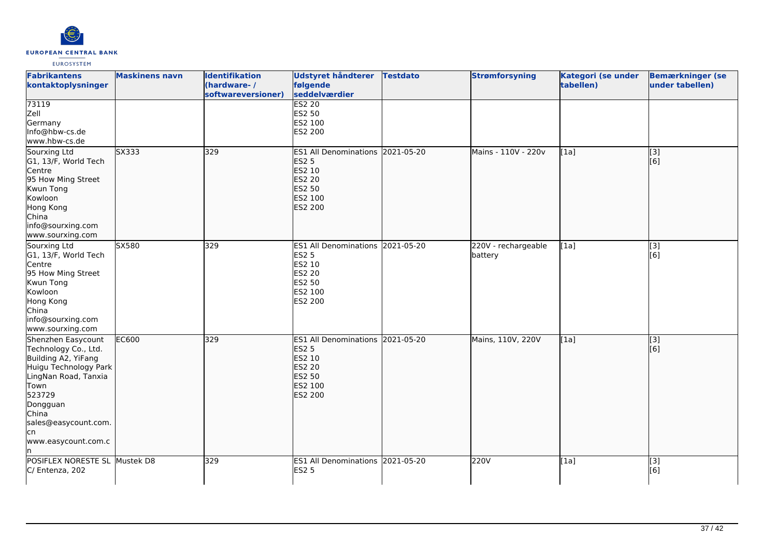

| <b>Fabrikantens</b><br>kontaktoplysninger                                                                                                                                                                       | <b>Maskinens navn</b> | <b>Identifikation</b><br>(hardware-/<br>softwareversioner) | <b>Udstyret håndterer</b><br>følgende<br>seddelværdier                                                      | <b>Testdato</b> | <b>Strømforsyning</b>          | <b>Kategori (se under</b><br>tabellen) | <b>Bemærkninger (se</b><br>under tabellen) |
|-----------------------------------------------------------------------------------------------------------------------------------------------------------------------------------------------------------------|-----------------------|------------------------------------------------------------|-------------------------------------------------------------------------------------------------------------|-----------------|--------------------------------|----------------------------------------|--------------------------------------------|
| 73119<br>Zell<br>Germany<br>Info@hbw-cs.de<br>www.hbw-cs.de                                                                                                                                                     |                       |                                                            | <b>ES2 20</b><br>ES2 50<br>ES2 100<br>ES2 200                                                               |                 |                                |                                        |                                            |
| Sourxing Ltd<br>G1, 13/F, World Tech<br>Centre<br>95 How Ming Street<br>Kwun Tong<br>Kowloon<br>Hong Kong<br>China<br>info@sourxing.com<br>www.sourxing.com                                                     | SX333                 | 329                                                        | ES1 All Denominations 2021-05-20<br><b>ES2 5</b><br>ES2 10<br>ES2 20<br>ES2 50<br>ES2 100<br>ES2 200        |                 | Mains - 110V - 220v            | [1a]                                   | [3]<br>[6]                                 |
| Sourxing Ltd<br>G1, 13/F, World Tech<br>Centre<br>95 How Ming Street<br>Kwun Tong<br>Kowloon<br>Hong Kong<br>China<br>info@sourxing.com<br>www.sourxing.com                                                     | SX580                 | 329                                                        | ES1 All Denominations 2021-05-20<br><b>ES2 5</b><br>ES2 10<br><b>ES2 20</b><br>ES2 50<br>ES2 100<br>ES2 200 |                 | 220V - rechargeable<br>battery | [1a]                                   | $\overline{[3]}$<br>[6]                    |
| Shenzhen Easycount<br>Technology Co., Ltd.<br>Building A2, YiFang<br>Huigu Technology Park<br>LingNan Road, Tanxia<br>Town<br>523729<br>Dongguan<br>China<br>sales@easycount.com.<br>lcn<br>www.easycount.com.c | <b>EC600</b>          | 329                                                        | ES1 All Denominations 2021-05-20<br><b>ES2 5</b><br>ES2 10<br>ES2 20<br>ES2 50<br>ES2 100<br>ES2 200        |                 | Mains, 110V, 220V              | [1a]                                   | [3]<br>[6]                                 |
| POSIFLEX NORESTE SL Mustek D8<br>C/ Entenza, 202                                                                                                                                                                |                       | 329                                                        | ES1 All Denominations 2021-05-20<br><b>ES2 5</b>                                                            |                 | 220V                           | [1a]                                   | [3]<br>[6]                                 |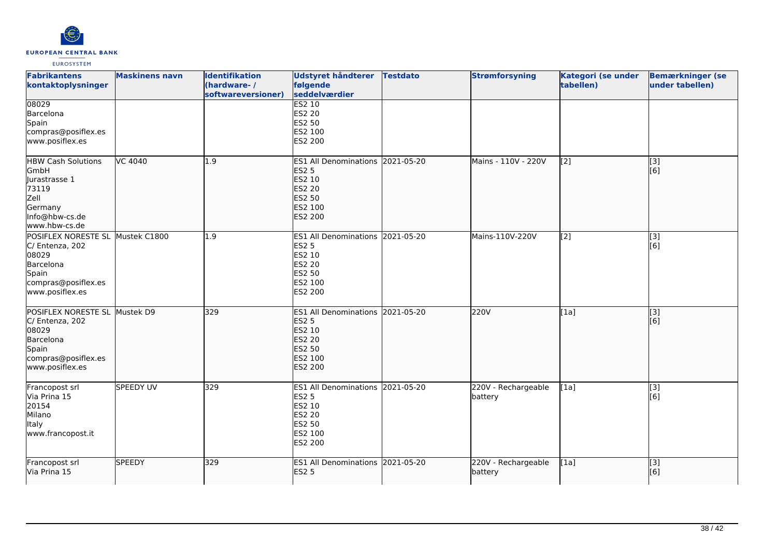

| <b>Fabrikantens</b><br>kontaktoplysninger                                                                                    | <b>Maskinens navn</b> | <b>Identifikation</b><br>(hardware-/<br>softwareversioner) | Udstyret håndterer<br>følgende<br>seddelværdier                                                                    | <b>Testdato</b> | <b>Strømforsyning</b>          | Kategori (se under<br>tabellen) | <b>Bemærkninger (se</b><br>under tabellen) |
|------------------------------------------------------------------------------------------------------------------------------|-----------------------|------------------------------------------------------------|--------------------------------------------------------------------------------------------------------------------|-----------------|--------------------------------|---------------------------------|--------------------------------------------|
| 08029<br>Barcelona<br>Spain<br>compras@posiflex.es<br>www.posiflex.es                                                        |                       |                                                            | ES2 10<br><b>ES2 20</b><br>ES2 50<br>ES2 100<br>ES2 200                                                            |                 |                                |                                 |                                            |
| <b>HBW Cash Solutions</b><br>GmbH<br>Jurastrasse 1<br>73119<br>Zell<br>Germany<br>Info@hbw-cs.de<br>www.hbw-cs.de            | VC 4040               | 1.9                                                        | <b>ES1 All Denominations</b><br><b>ES2 5</b><br>ES2 10<br><b>ES2 20</b><br><b>ES2 50</b><br>ES2 100<br>ES2 200     | 2021-05-20      | Mains - 110V - 220V            | [2]                             | [3]<br>[6]                                 |
| POSIFLEX NORESTE SL Mustek C1800<br>C/ Entenza, 202<br>08029<br>Barcelona<br>Spain<br>compras@posiflex.es<br>www.posiflex.es |                       | 1.9                                                        | ES1 All Denominations 2021-05-20<br><b>ES2 5</b><br>ES2 10<br><b>ES2 20</b><br>ES2 50<br>ES2 100<br>ES2 200        |                 | Mains-110V-220V                | [2]                             | $\overline{[3]}$<br>[6]                    |
| POSIFLEX NORESTE SL Mustek D9<br>C/ Entenza, 202<br>08029<br>Barcelona<br>Spain<br>compras@posiflex.es<br>www.posiflex.es    |                       | 329                                                        | ES1 All Denominations 2021-05-20<br><b>ES2 5</b><br>ES2 10<br><b>ES2 20</b><br><b>ES2 50</b><br>ES2 100<br>ES2 200 |                 | 220V                           | [1a]                            | $\overline{[3]}$<br>[6]                    |
| Francopost srl<br>Via Prina 15<br>20154<br>Milano<br>Italy<br>www.francopost.it                                              | SPEEDY UV             | 329                                                        | ES1 All Denominations 2021-05-20<br><b>ES2 5</b><br>ES2 10<br><b>ES2 20</b><br>ES2 50<br>ES2 100<br>ES2 200        |                 | 220V - Rechargeable<br>battery | [1a]                            | [3]<br>[6]                                 |
| Francopost srl<br>Via Prina 15                                                                                               | <b>SPEEDY</b>         | 329                                                        | ES1 All Denominations 2021-05-20<br><b>ES2 5</b>                                                                   |                 | 220V - Rechargeable<br>battery | [1a]                            | $\overline{[3]}$<br>[6]                    |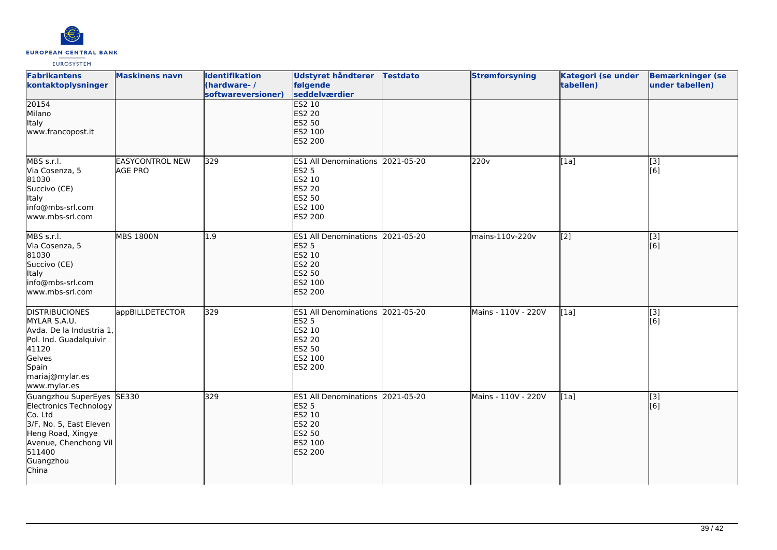

| <b>Fabrikantens</b><br>kontaktoplysninger                                                                                                                               | <b>Maskinens navn</b>             | <b>Identifikation</b><br>(hardware-/<br>softwareversioner) | <b>Udstyret håndterer</b><br>følgende<br>seddelværdier                                                                    | <b>Testdato</b> | <b>Strømforsyning</b> | Kategori (se under<br>tabellen) | <b>Bemærkninger (se</b><br>under tabellen) |
|-------------------------------------------------------------------------------------------------------------------------------------------------------------------------|-----------------------------------|------------------------------------------------------------|---------------------------------------------------------------------------------------------------------------------------|-----------------|-----------------------|---------------------------------|--------------------------------------------|
| 20154<br>Milano<br>Italy<br>www.francopost.it                                                                                                                           |                                   |                                                            | <b>ES2 10</b><br><b>ES2 20</b><br>ES2 50<br>ES2 100<br><b>ES2 200</b>                                                     |                 |                       |                                 |                                            |
| MBS s.r.l.<br>Via Cosenza, 5<br>81030<br>Succivo (CE)<br>Italy<br>info@mbs-srl.com<br>www.mbs-srl.com                                                                   | <b>EASYCONTROL NEW</b><br>AGE PRO | 329                                                        | ES1 All Denominations 2021-05-20<br><b>ES2 5</b><br>ES2 10<br><b>ES2 20</b><br><b>ES2 50</b><br>ES2 100<br>ES2 200        |                 | 220v                  | [1a]                            | [3]<br>[6]                                 |
| MBS s.r.l.<br>Via Cosenza, 5<br>81030<br>Succivo (CE)<br>Italy<br>info@mbs-srl.com<br>www.mbs-srl.com                                                                   | <b>MBS 1800N</b>                  | 1.9                                                        | ES1 All Denominations 2021-05-20<br><b>ES2 5</b><br>ES2 10<br><b>ES2 20</b><br><b>ES2 50</b><br>ES2 100<br><b>ES2 200</b> |                 | mains-110v-220v       | [2]                             | $\overline{[}3]$<br>[6]                    |
| <b>DISTRIBUCIONES</b><br>MYLAR S.A.U.<br>Avda. De la Industria 1,<br>Pol. Ind. Guadalquivir<br>41120<br>Gelves<br>Spain<br>mariaj@mylar.es<br>www.mylar.es              | appBILLDETECTOR                   | 329                                                        | ES1 All Denominations 2021-05-20<br><b>ES2 5</b><br>ES2 10<br><b>ES2 20</b><br><b>ES2 50</b><br>ES2 100<br>ES2 200        |                 | Mains - 110V - 220V   | [1a]                            | [3]<br>[6]                                 |
| Guangzhou SuperEyes SE330<br>Electronics Technology<br>Co. Ltd<br>3/F, No. 5, East Eleven<br>Heng Road, Xingye<br>Avenue, Chenchong Vil<br>511400<br>Guangzhou<br>China |                                   | 329                                                        | ES1 All Denominations 2021-05-20<br><b>ES2 5</b><br>ES2 10<br><b>ES2 20</b><br><b>ES2 50</b><br>ES2 100<br><b>ES2 200</b> |                 | Mains - 110V - 220V   | [1a]                            | $\overline{[}3]$<br>[6]                    |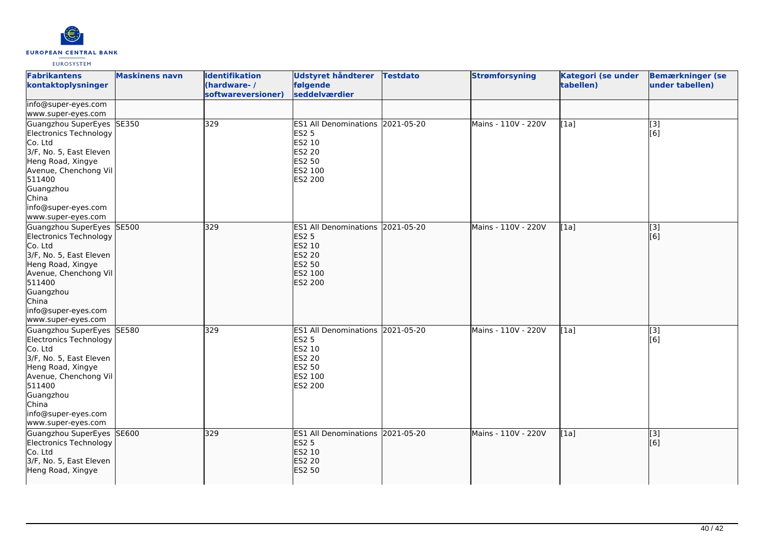

| <b>Fabrikantens</b><br>kontaktoplysninger                                                                                                                                                                            | <b>Maskinens navn</b> | <b>Identifikation</b><br>(hardware-/<br>softwareversioner) | Udstyret håndterer<br>følgende<br>seddelværdier                                                                | <b>Testdato</b> | <b>Strømforsyning</b> | Kategori (se under<br>tabellen) | <b>Bemærkninger (se</b><br>under tabellen)                |
|----------------------------------------------------------------------------------------------------------------------------------------------------------------------------------------------------------------------|-----------------------|------------------------------------------------------------|----------------------------------------------------------------------------------------------------------------|-----------------|-----------------------|---------------------------------|-----------------------------------------------------------|
| info@super-eyes.com<br>www.super-eyes.com                                                                                                                                                                            |                       |                                                            |                                                                                                                |                 |                       |                                 |                                                           |
| Guangzhou SuperEyes SE350<br>Electronics Technology<br>Co. Ltd<br>3/F, No. 5, East Eleven<br>Heng Road, Xingye<br>Avenue, Chenchong Vil<br>511400<br>Guangzhou<br>China<br>info@super-eyes.com<br>www.super-eyes.com |                       | 329                                                        | ES1 All Denominations 2021-05-20<br><b>ES2 5</b><br>ES2 10<br>ES2 20<br>ES2 50<br>ES2 100<br>ES2 200           |                 | Mains - 110V - 220V   | [1a]                            | $\begin{bmatrix} 3 \\ 6 \end{bmatrix}$                    |
| Guangzhou SuperEyes SE500<br>Electronics Technology<br>Co. Ltd<br>3/F, No. 5, East Eleven<br>Heng Road, Xingye<br>Avenue, Chenchong Vil<br>511400<br>Guangzhou<br>China<br>info@super-eyes.com<br>www.super-eyes.com |                       | 329                                                        | <b>ES1 All Denominations</b><br><b>ES2 5</b><br>ES2 10<br><b>ES2 20</b><br>ES2 50<br>ES2 100<br><b>ES2 200</b> | 2021-05-20      | Mains - 110V - 220V   | [1a]                            | $\left[ \begin{matrix} 1 & 3 \end{matrix} \right]$<br>[6] |
| Guangzhou SuperEyes SE580<br>Electronics Technology<br>Co. Ltd<br>3/F, No. 5, East Eleven<br>Heng Road, Xingye<br>Avenue, Chenchong Vil<br>511400<br>Guangzhou<br>China<br>info@super-eyes.com<br>www.super-eyes.com |                       | 329                                                        | ES1 All Denominations 2021-05-20<br><b>ES2 5</b><br>ES2 10<br>ES2 20<br>ES2 50<br>ES2 100<br>ES2 200           |                 | Mains - 110V - 220V   | [1a]                            | $\overline{[3]}$<br>[6]                                   |
| Guangzhou SuperEyes SE600<br>Electronics Technology<br>Co. Ltd<br>3/F, No. 5, East Eleven<br>Heng Road, Xingye                                                                                                       |                       | 329                                                        | ES1 All Denominations 2021-05-20<br><b>ES2 5</b><br>ES2 10<br><b>ES2 20</b><br><b>ES2 50</b>                   |                 | Mains - 110V - 220V   | [1a]                            | [3]<br>[6]                                                |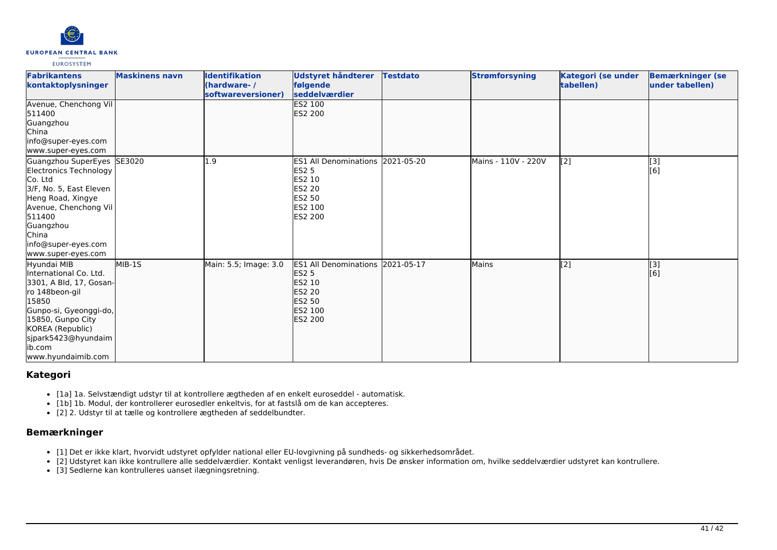

| <b>Fabrikantens</b><br>kontaktoplysninger                                                                                                                                                                              | <b>Maskinens navn</b> | <b>Identifikation</b><br>(hardware-/<br>softwareversioner) | <b>Udstyret håndterer</b><br>følgende<br><b>seddelværdier</b>                                                                            | <b>Testdato</b> | <b>Strømforsyning</b> | Kategori (se under<br>tabellen) | <b>Bemærkninger (se</b><br>under tabellen) |
|------------------------------------------------------------------------------------------------------------------------------------------------------------------------------------------------------------------------|-----------------------|------------------------------------------------------------|------------------------------------------------------------------------------------------------------------------------------------------|-----------------|-----------------------|---------------------------------|--------------------------------------------|
| Avenue, Chenchong Vil<br>511400<br>Guangzhou<br><b>China</b><br>info@super-eyes.com<br>www.super-eyes.com                                                                                                              |                       |                                                            | <b>ES2 100</b><br><b>ES2 200</b>                                                                                                         |                 |                       |                                 |                                            |
| Guangzhou SuperEyes SE3020<br>Electronics Technology<br>Co. Ltd<br>3/F, No. 5, East Eleven<br>Heng Road, Xingye<br>Avenue, Chenchong Vil<br>511400<br>Guangzhou<br>China<br>info@super-eyes.com<br>www.super-eyes.com  |                       | .9                                                         | ES1 All Denominations 2021-05-20<br><b>ES2 5</b><br><b>ES2 10</b><br><b>ES2 20</b><br><b>ES2 50</b><br><b>IES2 100</b><br>ES2 200        |                 | Mains - 110V - 220V   | $\left[2\right]$                | [3]<br>[6]                                 |
| Hyundai MIB<br>International Co. Ltd.<br>3301, A Bld, 17, Gosan-<br>ro 148beon-gil<br>15850<br>Gunpo-si, Gyeonggi-do,<br>15850, Gunpo City<br>KOREA (Republic)<br>sjpark5423@hyundaim<br>lib.com<br>www.hyundaimib.com | MIB-1S                | Main: 5.5; Image: 3.0                                      | <b>ES1 All Denominations 2021-05-17</b><br><b>ES2 5</b><br>ES2 10<br><b>ES2 20</b><br><b>IES2 50</b><br><b>ES2 100</b><br><b>ES2 200</b> |                 | Mains                 | $\overline{[2]}$                | $\begin{bmatrix} 3 \\ 6 \end{bmatrix}$     |

## **Kategori**

- [1a] 1a. Selvstændigt udstyr til at kontrollere ægtheden af en enkelt euroseddel automatisk.
- [1b] 1b. Modul, der kontrollerer eurosedler enkeltvis, for at fastslå om de kan accepteres.
- [2] 2. Udstyr til at tælle og kontrollere ægtheden af seddelbundter.

# **Bemærkninger**

- [1] Det er ikke klart, hvorvidt udstyret opfylder national eller EU-lovgivning på sundheds- og sikkerhedsområdet.
- [2] Udstyret kan ikke kontrullere alle seddelværdier. Kontakt venligst leverandøren, hvis De ønsker information om, hvilke seddelværdier udstyret kan kontrullere.
- [3] Sedlerne kan kontrulleres uanset ilægningsretning.